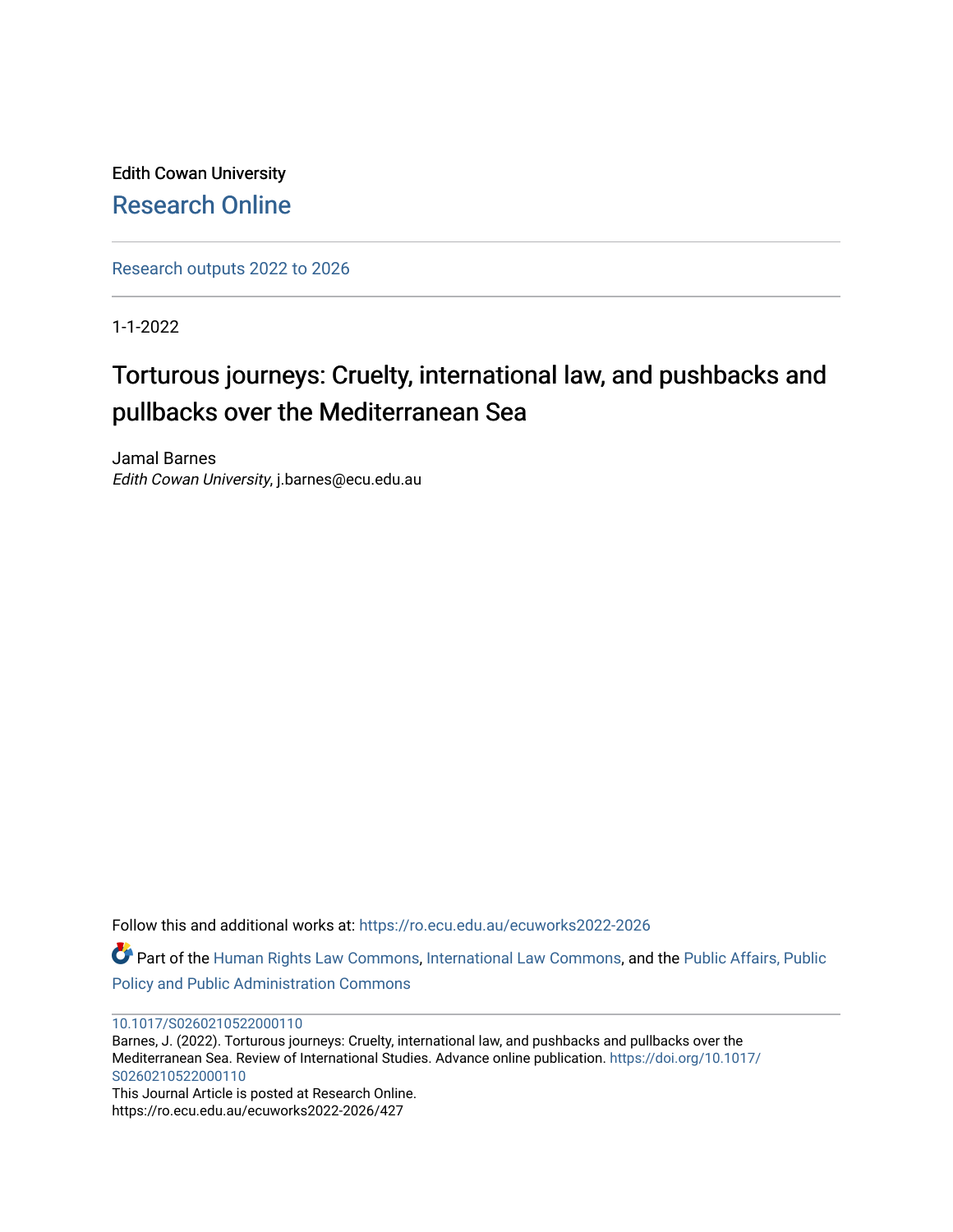Edith Cowan University [Research Online](https://ro.ecu.edu.au/) 

[Research outputs 2022 to 2026](https://ro.ecu.edu.au/ecuworks2022-2026) 

1-1-2022

## Torturous journeys: Cruelty, international law, and pushbacks and pullbacks over the Mediterranean Sea

Jamal Barnes Edith Cowan University, j.barnes@ecu.edu.au

Follow this and additional works at: [https://ro.ecu.edu.au/ecuworks2022-2026](https://ro.ecu.edu.au/ecuworks2022-2026?utm_source=ro.ecu.edu.au%2Fecuworks2022-2026%2F427&utm_medium=PDF&utm_campaign=PDFCoverPages) Part of the [Human Rights Law Commons,](http://network.bepress.com/hgg/discipline/847?utm_source=ro.ecu.edu.au%2Fecuworks2022-2026%2F427&utm_medium=PDF&utm_campaign=PDFCoverPages) [International Law Commons](http://network.bepress.com/hgg/discipline/609?utm_source=ro.ecu.edu.au%2Fecuworks2022-2026%2F427&utm_medium=PDF&utm_campaign=PDFCoverPages), and the [Public Affairs, Public](http://network.bepress.com/hgg/discipline/393?utm_source=ro.ecu.edu.au%2Fecuworks2022-2026%2F427&utm_medium=PDF&utm_campaign=PDFCoverPages) [Policy and Public Administration Commons](http://network.bepress.com/hgg/discipline/393?utm_source=ro.ecu.edu.au%2Fecuworks2022-2026%2F427&utm_medium=PDF&utm_campaign=PDFCoverPages)

[10.1017/S0260210522000110](http://dx.doi.org/10.1017/S0260210522000110) 

Barnes, J. (2022). Torturous journeys: Cruelty, international law, and pushbacks and pullbacks over the Mediterranean Sea. Review of International Studies. Advance online publication. [https://doi.org/10.1017/](https://doi.org/10.1017/S0260210522000110) [S0260210522000110](https://doi.org/10.1017/S0260210522000110)

This Journal Article is posted at Research Online. https://ro.ecu.edu.au/ecuworks2022-2026/427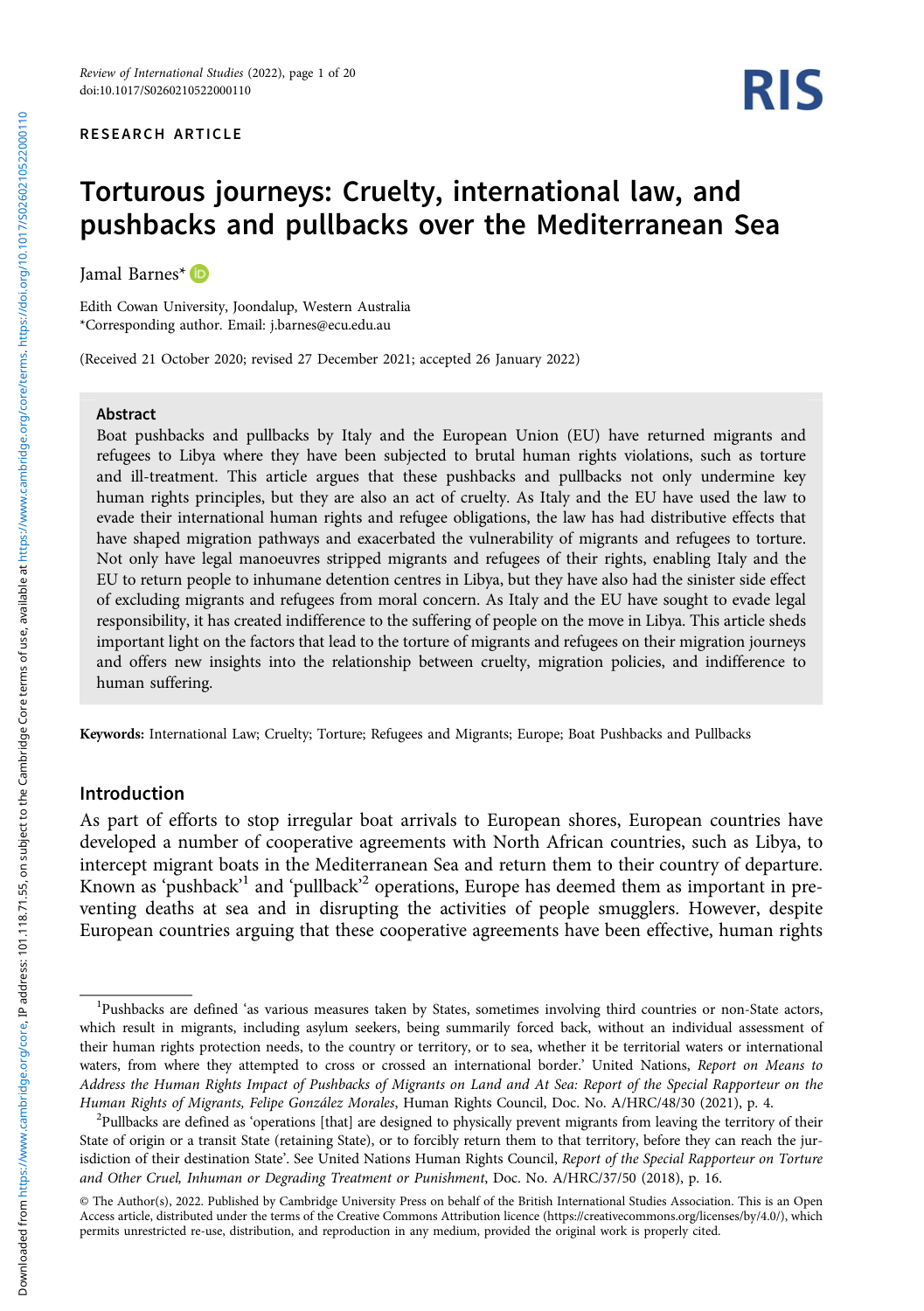#### RESEARCH ARTICLE

# RIS

### Torturous journeys: Cruelty, international law, and pushbacks and pullbacks over the Mediterranean Sea

Jamal Barnes\*

Edith Cowan University, Joondalup, Western Australia \*Corresponding author. Email: [j.barnes@ecu.edu.au](mailto:j.barnes@ecu.edu.au)

(Received 21 October 2020; revised 27 December 2021; accepted 26 January 2022)

#### Abstract

Boat pushbacks and pullbacks by Italy and the European Union (EU) have returned migrants and refugees to Libya where they have been subjected to brutal human rights violations, such as torture and ill-treatment. This article argues that these pushbacks and pullbacks not only undermine key human rights principles, but they are also an act of cruelty. As Italy and the EU have used the law to evade their international human rights and refugee obligations, the law has had distributive effects that have shaped migration pathways and exacerbated the vulnerability of migrants and refugees to torture. Not only have legal manoeuvres stripped migrants and refugees of their rights, enabling Italy and the EU to return people to inhumane detention centres in Libya, but they have also had the sinister side effect of excluding migrants and refugees from moral concern. As Italy and the EU have sought to evade legal responsibility, it has created indifference to the suffering of people on the move in Libya. This article sheds important light on the factors that lead to the torture of migrants and refugees on their migration journeys and offers new insights into the relationship between cruelty, migration policies, and indifference to human suffering.

Keywords: International Law; Cruelty; Torture; Refugees and Migrants; Europe; Boat Pushbacks and Pullbacks

#### Introduction

As part of efforts to stop irregular boat arrivals to European shores, European countries have developed a number of cooperative agreements with North African countries, such as Libya, to intercept migrant boats in the Mediterranean Sea and return them to their country of departure. Known as 'pushback'<sup>1</sup> and 'pullback'<sup>2</sup> operations, Europe has deemed them as important in preventing deaths at sea and in disrupting the activities of people smugglers. However, despite European countries arguing that these cooperative agreements have been effective, human rights

<sup>&</sup>lt;sup>1</sup>Pushbacks are defined 'as various measures taken by States, sometimes involving third countries or non-State actors, which result in migrants, including asylum seekers, being summarily forced back, without an individual assessment of their human rights protection needs, to the country or territory, or to sea, whether it be territorial waters or international waters, from where they attempted to cross or crossed an international border.' United Nations, Report on Means to Address the Human Rights Impact of Pushbacks of Migrants on Land and At Sea: Report of the Special Rapporteur on the Human Rights of Migrants, Felipe González Morales, Human Rights Council, Doc. No. A/HRC/48/30 (2021), p. 4. <sup>2</sup>

<sup>&</sup>lt;sup>2</sup>Pullbacks are defined as 'operations [that] are designed to physically prevent migrants from leaving the territory of their State of origin or a transit State (retaining State), or to forcibly return them to that territory, before they can reach the jurisdiction of their destination State'. See United Nations Human Rights Council, Report of the Special Rapporteur on Torture and Other Cruel, Inhuman or Degrading Treatment or Punishment, Doc. No. A/HRC/37/50 (2018), p. 16.

<sup>©</sup> The Author(s), 2022. Published by Cambridge University Press on behalf of the British International Studies Association. This is an Open Access article, distributed under the terms of the Creative Commons Attribution licence [\(https://creativecommons.org/licenses/by/4.0/\)](https://creativecommons.org/licenses/by/4.0/), which permits unrestricted re-use, distribution, and reproduction in any medium, provided the original work is properly cited.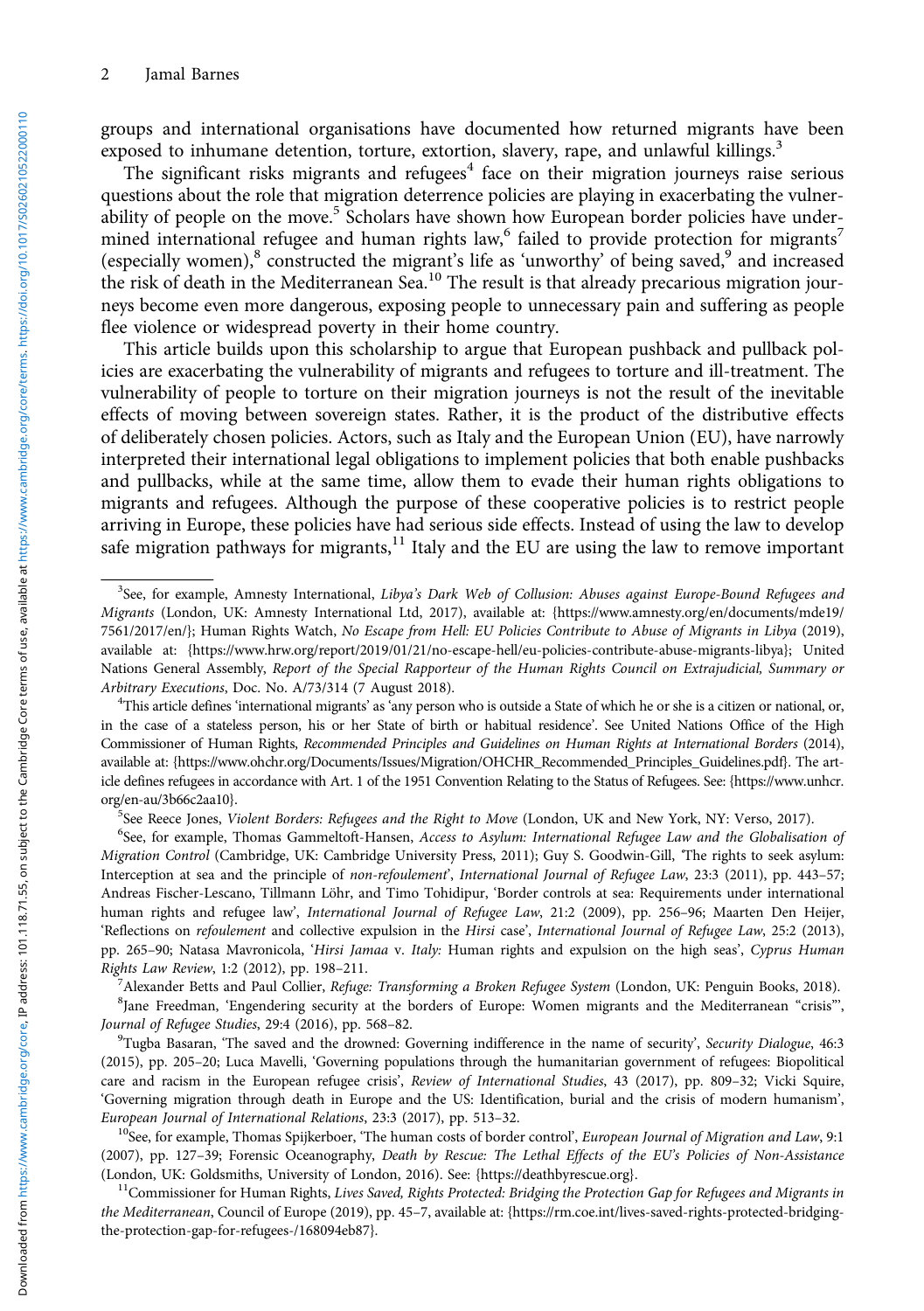groups and international organisations have documented how returned migrants have been exposed to inhumane detention, torture, extortion, slavery, rape, and unlawful killings.<sup>3</sup>

The significant risks migrants and refugees $4$  face on their migration journeys raise serious questions about the role that migration deterrence policies are playing in exacerbating the vulnerability of people on the move.<sup>5</sup> Scholars have shown how European border policies have undermined international refugee and human rights law,<sup>6</sup> failed to provide protection for migrants<sup>7</sup> (especially women),<sup>8</sup> constructed the migrant's life as 'unworthy' of being saved,<sup>9</sup> and increased the risk of death in the Mediterranean Sea.<sup>10</sup> The result is that already precarious migration journeys become even more dangerous, exposing people to unnecessary pain and suffering as people flee violence or widespread poverty in their home country.

This article builds upon this scholarship to argue that European pushback and pullback policies are exacerbating the vulnerability of migrants and refugees to torture and ill-treatment. The vulnerability of people to torture on their migration journeys is not the result of the inevitable effects of moving between sovereign states. Rather, it is the product of the distributive effects of deliberately chosen policies. Actors, such as Italy and the European Union (EU), have narrowly interpreted their international legal obligations to implement policies that both enable pushbacks and pullbacks, while at the same time, allow them to evade their human rights obligations to migrants and refugees. Although the purpose of these cooperative policies is to restrict people arriving in Europe, these policies have had serious side effects. Instead of using the law to develop safe migration pathways for migrants, $^{11}$  Italy and the EU are using the law to remove important

<sup>5</sup>See Reece Jones, *Violent Borders: Refugees and the Right to Move* (London, UK and New York, NY: Verso, 2017).

<sup>6</sup>See, for example, Thomas Gammeltoft-Hansen, Access to Asylum: International Refugee Law and the Globalisation of Migration Control (Cambridge, UK: Cambridge University Press, 2011); Guy S. Goodwin-Gill, 'The rights to seek asylum: Interception at sea and the principle of non-refoulement', International Journal of Refugee Law, 23:3 (2011), pp. 443-57; Andreas Fischer-Lescano, Tillmann Löhr, and Timo Tohidipur, 'Border controls at sea: Requirements under international human rights and refugee law', International Journal of Refugee Law, 21:2 (2009), pp. 256–96; Maarten Den Heijer, 'Reflections on refoulement and collective expulsion in the Hirsi case', International Journal of Refugee Law, 25:2 (2013), pp. 265-90; Natasa Mavronicola, 'Hirsi Jamaa v. Italy: Human rights and expulsion on the high seas', Cyprus Human Rights Law Review, 1:2 (2012), pp. 198–211. <sup>7</sup>

Alexander Betts and Paul Collier, Refuge: Transforming a Broken Refugee System (London, UK: Penguin Books, 2018). <sup>8</sup>Jane Freedman, 'Engendering security at the borders of Europe: Women migrants and the Mediterranean "crisis"', Journal of Refugee Studies, 29:4 (2016), pp. 568-82.

<sup>9</sup>Tugba Basaran, 'The saved and the drowned: Governing indifference in the name of security', Security Dialogue, 46:3 (2015), pp. 205–20; Luca Mavelli, 'Governing populations through the humanitarian government of refugees: Biopolitical care and racism in the European refugee crisis', Review of International Studies, 43 (2017), pp. 809–32; Vicki Squire, 'Governing migration through death in Europe and the US: Identification, burial and the crisis of modern humanism', European Journal of International Relations, 23:3 (2017), pp. 513–32.<br><sup>10</sup>See, for example, Thomas Spijkerboer, 'The human costs of border control', European Journal of Migration and Law, 9:1

(2007), pp. 127–39; Forensic Oceanography, Death by Rescue: The Lethal Effects of the EU's Policies of Non-Assistance (London, UK: Goldsmiths, University of London, 2016). See: {<https://deathbyrescue.org>}.<br><sup>11</sup>Commissioner for Human Rights, *Lives Saved, Rights Protected: Bridging the Protection Gap for Refugees and Migrants in* 

the Mediterranean, Council of Europe (2019), pp. 45-7, available at: {[https://rm.coe.int/lives-saved-rights-protected-bridging](https://rm.coe.int/lives-saved-rights-protected-bridging-the-protection-gap-for-refugees-/168094eb87)[the-protection-gap-for-refugees-/168094eb87](https://rm.coe.int/lives-saved-rights-protected-bridging-the-protection-gap-for-refugees-/168094eb87)}.

<sup>&</sup>lt;sup>3</sup>See, for example, Amnesty International, Libya's Dark Web of Collusion: Abuses against Europe-Bound Refugees and Migrants (London, UK: Amnesty International Ltd, 2017), available at: {[https://www.amnesty.org/en/documents/mde19/](https://www.amnesty.org/en/documents/mde19/7561/2017/en/) [7561/2017/en/}](https://www.amnesty.org/en/documents/mde19/7561/2017/en/); Human Rights Watch, No Escape from Hell: EU Policies Contribute to Abuse of Migrants in Libya (2019), available at: {<https://www.hrw.org/report/2019/01/21/no-escape-hell/eu-policies-contribute-abuse-migrants-libya>}; United Nations General Assembly, Report of the Special Rapporteur of the Human Rights Council on Extrajudicial, Summary or Arbitrary Executions, Doc. No. A/73/314 (7 August 2018).

This article defines 'international migrants' as 'any person who is outside a State of which he or she is a citizen or national, or, in the case of a stateless person, his or her State of birth or habitual residence'. See United Nations Office of the High Commissioner of Human Rights, Recommended Principles and Guidelines on Human Rights at International Borders (2014), available at: [{https://www.ohchr.org/Documents/Issues/Migration/OHCHR\\_Recommended\\_Principles\\_Guidelines.pdf}](https://www.ohchr.org/Documents/Issues/Migration/OHCHR_Recommended_Principles_Guidelines.pdf). The article defines refugees in accordance with Art. 1 of the 1951 Convention Relating to the Status of Refugees. See: [{https://www.unhcr.](https://www.unhcr.org/en-au/3b66c2aa10) [org/en-au/3b66c2aa10](https://www.unhcr.org/en-au/3b66c2aa10)}. <sup>5</sup>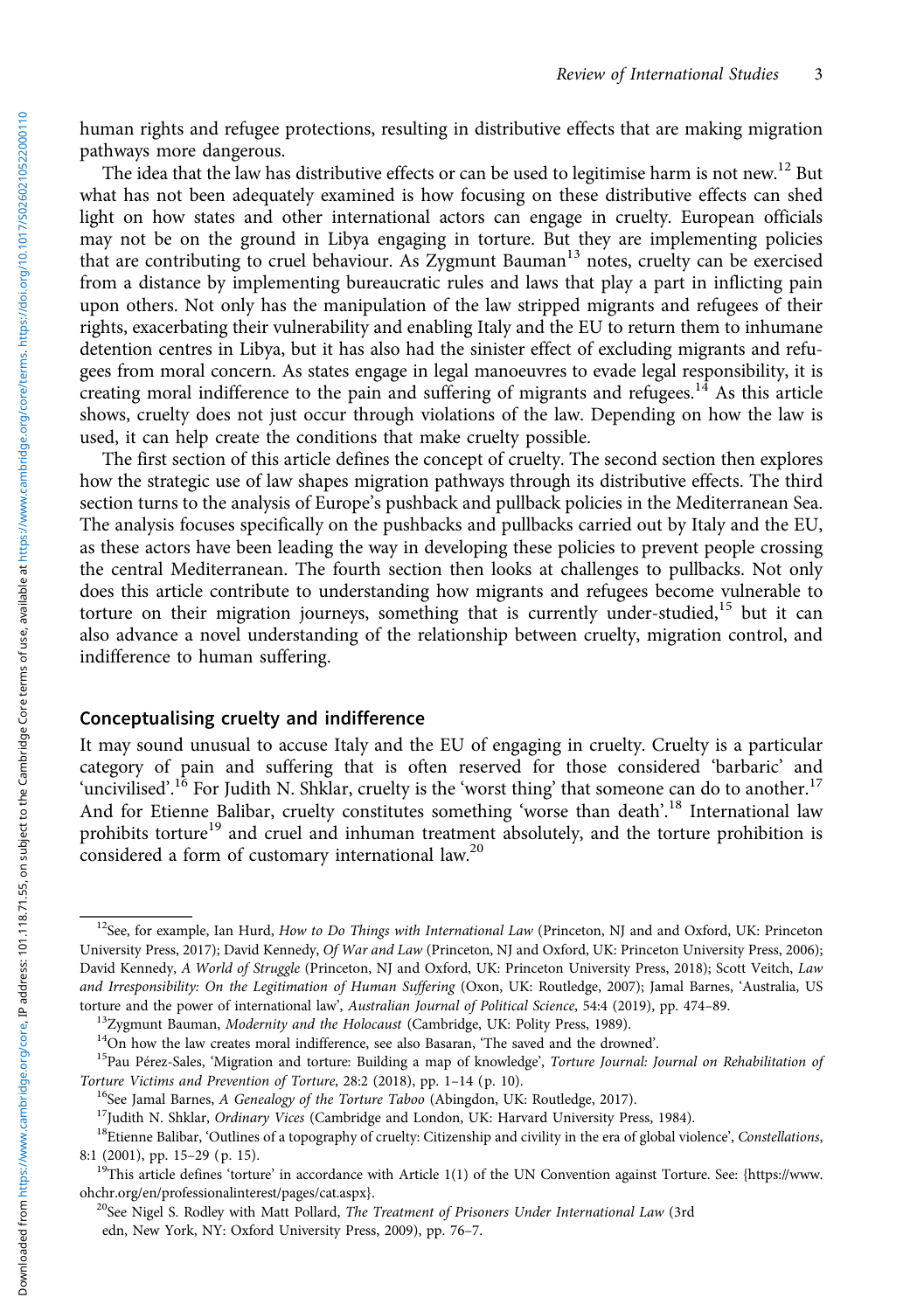human rights and refugee protections, resulting in distributive effects that are making migration pathways more dangerous.

The idea that the law has distributive effects or can be used to legitimise harm is not new.<sup>12</sup> But what has not been adequately examined is how focusing on these distributive effects can shed light on how states and other international actors can engage in cruelty. European officials may not be on the ground in Libya engaging in torture. But they are implementing policies that are contributing to cruel behaviour. As Zygmunt Bauman<sup>13</sup> notes, cruelty can be exercised from a distance by implementing bureaucratic rules and laws that play a part in inflicting pain upon others. Not only has the manipulation of the law stripped migrants and refugees of their rights, exacerbating their vulnerability and enabling Italy and the EU to return them to inhumane detention centres in Libya, but it has also had the sinister effect of excluding migrants and refugees from moral concern. As states engage in legal manoeuvres to evade legal responsibility, it is creating moral indifference to the pain and suffering of migrants and refugees.<sup>14</sup> As this article shows, cruelty does not just occur through violations of the law. Depending on how the law is used, it can help create the conditions that make cruelty possible.

The first section of this article defines the concept of cruelty. The second section then explores how the strategic use of law shapes migration pathways through its distributive effects. The third section turns to the analysis of Europe's pushback and pullback policies in the Mediterranean Sea. The analysis focuses specifically on the pushbacks and pullbacks carried out by Italy and the EU, as these actors have been leading the way in developing these policies to prevent people crossing the central Mediterranean. The fourth section then looks at challenges to pullbacks. Not only does this article contribute to understanding how migrants and refugees become vulnerable to torture on their migration journeys, something that is currently under-studied, $15$  but it can also advance a novel understanding of the relationship between cruelty, migration control, and indifference to human suffering.

#### Conceptualising cruelty and indifference

It may sound unusual to accuse Italy and the EU of engaging in cruelty. Cruelty is a particular category of pain and suffering that is often reserved for those considered 'barbaric' and 'uncivilised'.<sup>16</sup> For Judith N. Shklar, cruelty is the 'worst thing' that someone can do to another.<sup>17</sup> And for Etienne Balibar, cruelty constitutes something 'worse than death'.<sup>18</sup> International law prohibits torture<sup>19</sup> and cruel and inhuman treatment absolutely, and the torture prohibition is considered a form of customary international law.<sup>20</sup>

 $12$ See, for example, Ian Hurd, How to Do Things with International Law (Princeton, NJ and and Oxford, UK: Princeton University Press, 2017); David Kennedy, Of War and Law (Princeton, NJ and Oxford, UK: Princeton University Press, 2006); David Kennedy, A World of Struggle (Princeton, NJ and Oxford, UK: Princeton University Press, 2018); Scott Veitch, Law and Irresponsibility: On the Legitimation of Human Suffering (Oxon, UK: Routledge, 2007); Jamal Barnes, 'Australia, US

torture and the power of international law', *Australian Journal of Political Science*, 54:4 (2019), pp. 474–89.<br><sup>13</sup>Zygmunt Bauman, *Modernity and the Holocaust* (Cambridge, UK: Polity Press, 1989).<br><sup>14</sup>On how the law cre

<sup>&</sup>lt;sup>16</sup>See Jamal Barnes, *A Genealogy of the Torture Taboo* (Abingdon, UK: Routledge, 2017).<br><sup>17</sup>Judith N. Shklar, *Ordinary Vices* (Cambridge and London, UK: Harvard University Press, 1984).<br><sup>18</sup>Etienne Balibar, 'Outlines of 8:1 (2001), pp. 15–29 (p. 15).<br><sup>19</sup>This article defines 'torture' in accordance with Article 1(1) of the UN Convention against Torture. See: [{https://www.](https://www.ohchr.org/en/professionalinterest/pages/cat.aspx)

[ohchr.org/en/professionalinterest/pages/cat.aspx}](https://www.ohchr.org/en/professionalinterest/pages/cat.aspx).<br><sup>20</sup>See Nigel S. Rodley with Matt Pollard, *The Treatment of Prisoners Under International Law* (3rd

edn, New York, NY: Oxford University Press, 2009), pp. 76–7.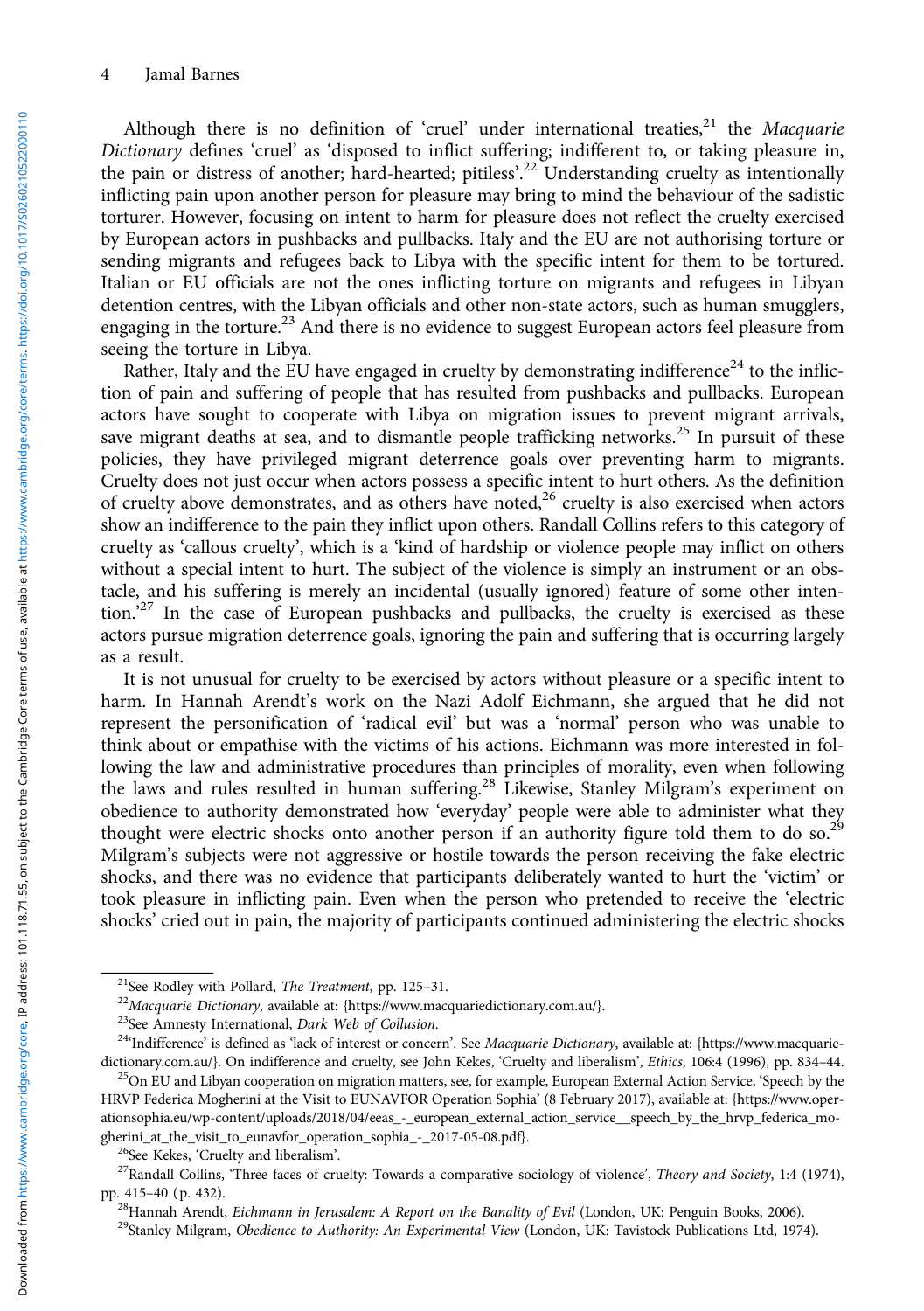Although there is no definition of 'cruel' under international treaties, $^{21}$  the Macquarie Dictionary defines 'cruel' as 'disposed to inflict suffering; indifferent to, or taking pleasure in, the pain or distress of another; hard-hearted; pitiless'.<sup>22</sup> Understanding cruelty as intentionally inflicting pain upon another person for pleasure may bring to mind the behaviour of the sadistic torturer. However, focusing on intent to harm for pleasure does not reflect the cruelty exercised by European actors in pushbacks and pullbacks. Italy and the EU are not authorising torture or sending migrants and refugees back to Libya with the specific intent for them to be tortured. Italian or EU officials are not the ones inflicting torture on migrants and refugees in Libyan detention centres, with the Libyan officials and other non-state actors, such as human smugglers, engaging in the torture.<sup>23</sup> And there is no evidence to suggest European actors feel pleasure from seeing the torture in Libya.

Rather, Italy and the EU have engaged in cruelty by demonstrating indifference<sup>24</sup> to the infliction of pain and suffering of people that has resulted from pushbacks and pullbacks. European actors have sought to cooperate with Libya on migration issues to prevent migrant arrivals, save migrant deaths at sea, and to dismantle people trafficking networks.<sup>25</sup> In pursuit of these policies, they have privileged migrant deterrence goals over preventing harm to migrants. Cruelty does not just occur when actors possess a specific intent to hurt others. As the definition of cruelty above demonstrates, and as others have noted,<sup>26</sup> cruelty is also exercised when actors show an indifference to the pain they inflict upon others. Randall Collins refers to this category of cruelty as 'callous cruelty', which is a 'kind of hardship or violence people may inflict on others without a special intent to hurt. The subject of the violence is simply an instrument or an obstacle, and his suffering is merely an incidental (usually ignored) feature of some other intention.' <sup>27</sup> In the case of European pushbacks and pullbacks, the cruelty is exercised as these actors pursue migration deterrence goals, ignoring the pain and suffering that is occurring largely as a result.

It is not unusual for cruelty to be exercised by actors without pleasure or a specific intent to harm. In Hannah Arendt's work on the Nazi Adolf Eichmann, she argued that he did not represent the personification of 'radical evil' but was a 'normal' person who was unable to think about or empathise with the victims of his actions. Eichmann was more interested in following the law and administrative procedures than principles of morality, even when following the laws and rules resulted in human suffering.<sup>28</sup> Likewise, Stanley Milgram's experiment on obedience to authority demonstrated how 'everyday' people were able to administer what they thought were electric shocks onto another person if an authority figure told them to do so.<sup>29</sup> Milgram's subjects were not aggressive or hostile towards the person receiving the fake electric shocks, and there was no evidence that participants deliberately wanted to hurt the 'victim' or took pleasure in inflicting pain. Even when the person who pretended to receive the 'electric shocks' cried out in pain, the majority of participants continued administering the electric shocks

<sup>&</sup>lt;sup>21</sup>See Rodley with Pollard, *The Treatment*, pp. 125–31.<br><sup>22</sup>*Macquarie Dictionary*, available at: {[https://www.macquariedictionary.com.au/}](https://www.macquariedictionary.com.au/).<br><sup>23</sup>See Amnesty International, *Dark Web of Collusion*.<br><sup>24</sup>YIndifference' is [dictionary.com.au/}](https://www.macquariedictionary.com.au/). On indifference and cruelty, see John Kekes, 'Cruelty and liberalism', *Ethics*, 106:4 (1996), pp. 834–44.<br><sup>25</sup>On EU and Libyan cooperation on migration matters, see, for example, European External Act

HRVP Federica Mogherini at the Visit to EUNAVFOR Operation Sophia' (8 February 2017), available at: {[https://www.oper](https://www.operationsophia.eu/wp-content/uploads/2018/04/eeas_-_european_external_action_service__speech_by_the_hrvp_federica_mogherini_at_the_visit_to_eunavfor_operation_sophia_-_2017-05-08.pdf)ationsophia.eu/wp-content/uploads/2018/04/eeas\_-\_european\_external\_action\_service\_\_speech\_by\_the\_hrvp\_federica\_mo-<br>gherini\_at\_the\_visit\_to\_eunavfor\_operation\_sophia\_-\_2017-05-08.pdf}.

<sup>&</sup>lt;sup>26</sup>See Kekes, 'Cruelty and liberalism'.<br><sup>27</sup>Randall Collins, 'Three faces of cruelty: Towards a comparative sociology of violence', *Theory and Society*, 1:4 (1974), pp. 415–40 (p. 432).

<sup>&</sup>lt;sup>28</sup>Hannah Arendt, *Eichmann in Jerusalem: A Report on the Banality of Evil* (London, UK: Penguin Books, 2006).<br><sup>29</sup>Stanley Milgram, *Obedience to Authority: An Experimental View* (London, UK: Tavistock Publications Ltd, 1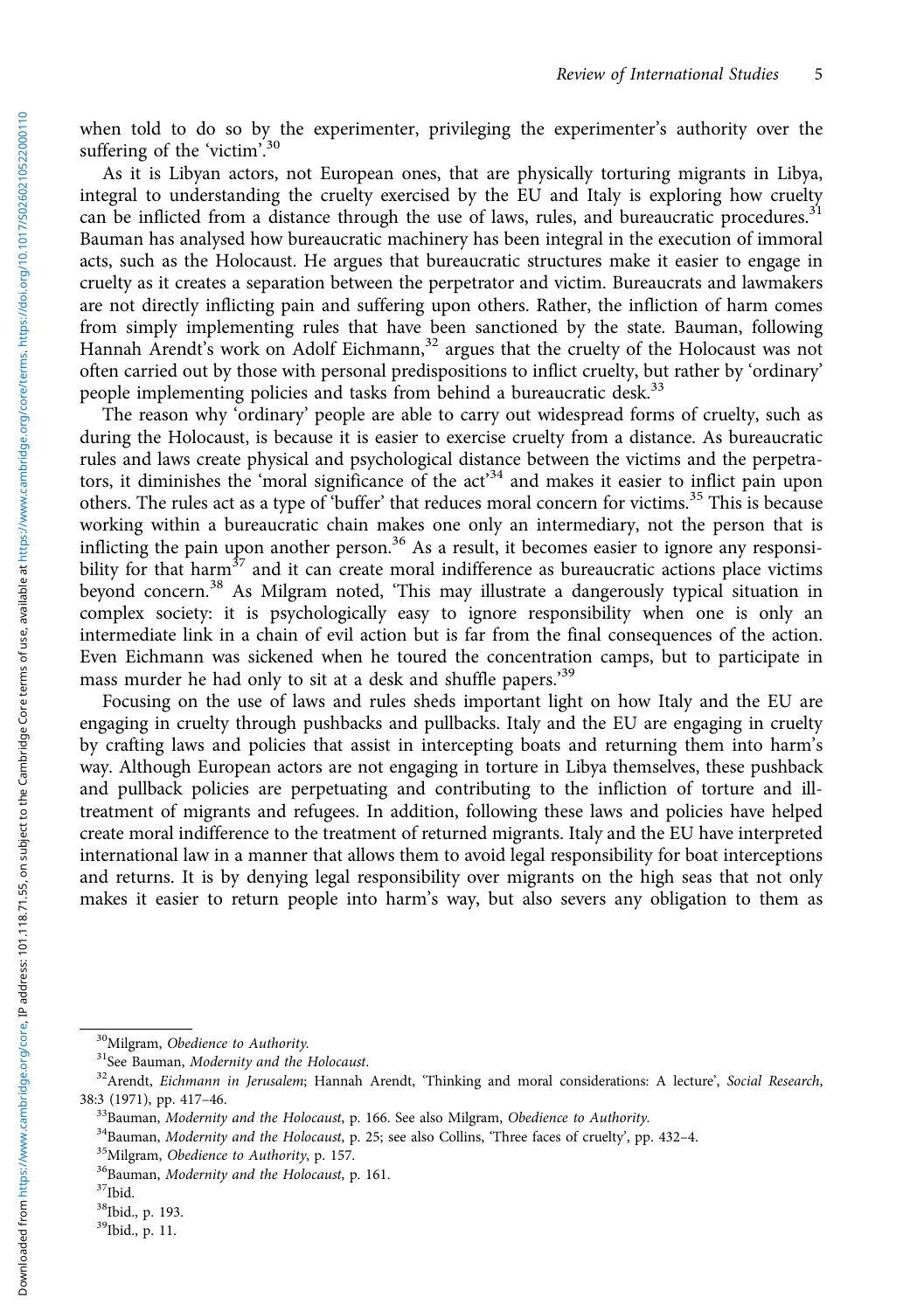when told to do so by the experimenter, privileging the experimenter's authority over the suffering of the 'victim'.<sup>30</sup>

As it is Libyan actors, not European ones, that are physically torturing migrants in Libya, integral to understanding the cruelty exercised by the EU and Italy is exploring how cruelty can be inflicted from a distance through the use of laws, rules, and bureaucratic procedures.<sup>31</sup> Bauman has analysed how bureaucratic machinery has been integral in the execution of immoral acts, such as the Holocaust. He argues that bureaucratic structures make it easier to engage in cruelty as it creates a separation between the perpetrator and victim. Bureaucrats and lawmakers are not directly inflicting pain and suffering upon others. Rather, the infliction of harm comes from simply implementing rules that have been sanctioned by the state. Bauman, following Hannah Arendt's work on Adolf Eichmann,  $32$  argues that the cruelty of the Holocaust was not often carried out by those with personal predispositions to inflict cruelty, but rather by 'ordinary' people implementing policies and tasks from behind a bureaucratic desk.<sup>33</sup>

The reason why 'ordinary' people are able to carry out widespread forms of cruelty, such as during the Holocaust, is because it is easier to exercise cruelty from a distance. As bureaucratic rules and laws create physical and psychological distance between the victims and the perpetrators, it diminishes the 'moral significance of the act'<sup>34</sup> and makes it easier to inflict pain upon others. The rules act as a type of 'buffer' that reduces moral concern for victims.<sup>35</sup> This is because working within a bureaucratic chain makes one only an intermediary, not the person that is inflicting the pain upon another person.<sup>36</sup> As a result, it becomes easier to ignore any responsibility for that harm<sup>37</sup> and it can create moral indifference as bureaucratic actions place victims beyond concern.<sup>38</sup> As Milgram noted, 'This may illustrate a dangerously typical situation in complex society: it is psychologically easy to ignore responsibility when one is only an intermediate link in a chain of evil action but is far from the final consequences of the action. Even Eichmann was sickened when he toured the concentration camps, but to participate in mass murder he had only to sit at a desk and shuffle papers.'<sup>39</sup>

Focusing on the use of laws and rules sheds important light on how Italy and the EU are engaging in cruelty through pushbacks and pullbacks. Italy and the EU are engaging in cruelty by crafting laws and policies that assist in intercepting boats and returning them into harm's way. Although European actors are not engaging in torture in Libya themselves, these pushback and pullback policies are perpetuating and contributing to the infliction of torture and illtreatment of migrants and refugees. In addition, following these laws and policies have helped create moral indifference to the treatment of returned migrants. Italy and the EU have interpreted international law in a manner that allows them to avoid legal responsibility for boat interceptions and returns. It is by denying legal responsibility over migrants on the high seas that not only makes it easier to return people into harm's way, but also severs any obligation to them as

<sup>&</sup>lt;sup>30</sup>Milgram, Obedience to Authority.<br><sup>31</sup>See Bauman, *Modernity and the Holocaust.*<br><sup>32</sup>Arendt, *Eichmann in Jerusalem*; Hannah Arendt, "Thinking and moral considerations: A lecture', *Social Research*, 38:3 (1971), pp. 417–46.<br><sup>33</sup>Bauman, *Modernity and the Holocaust*, p. 166. See also Milgram, *Obedience to Authority*.<br><sup>34</sup>Bauman, *Modernity and the Holocaust*, p. 25; see also Collins, "Three faces of cruelty", pp. 432

<sup>38</sup>Ibid., p. 193.

<sup>39</sup>Ibid., p. 11.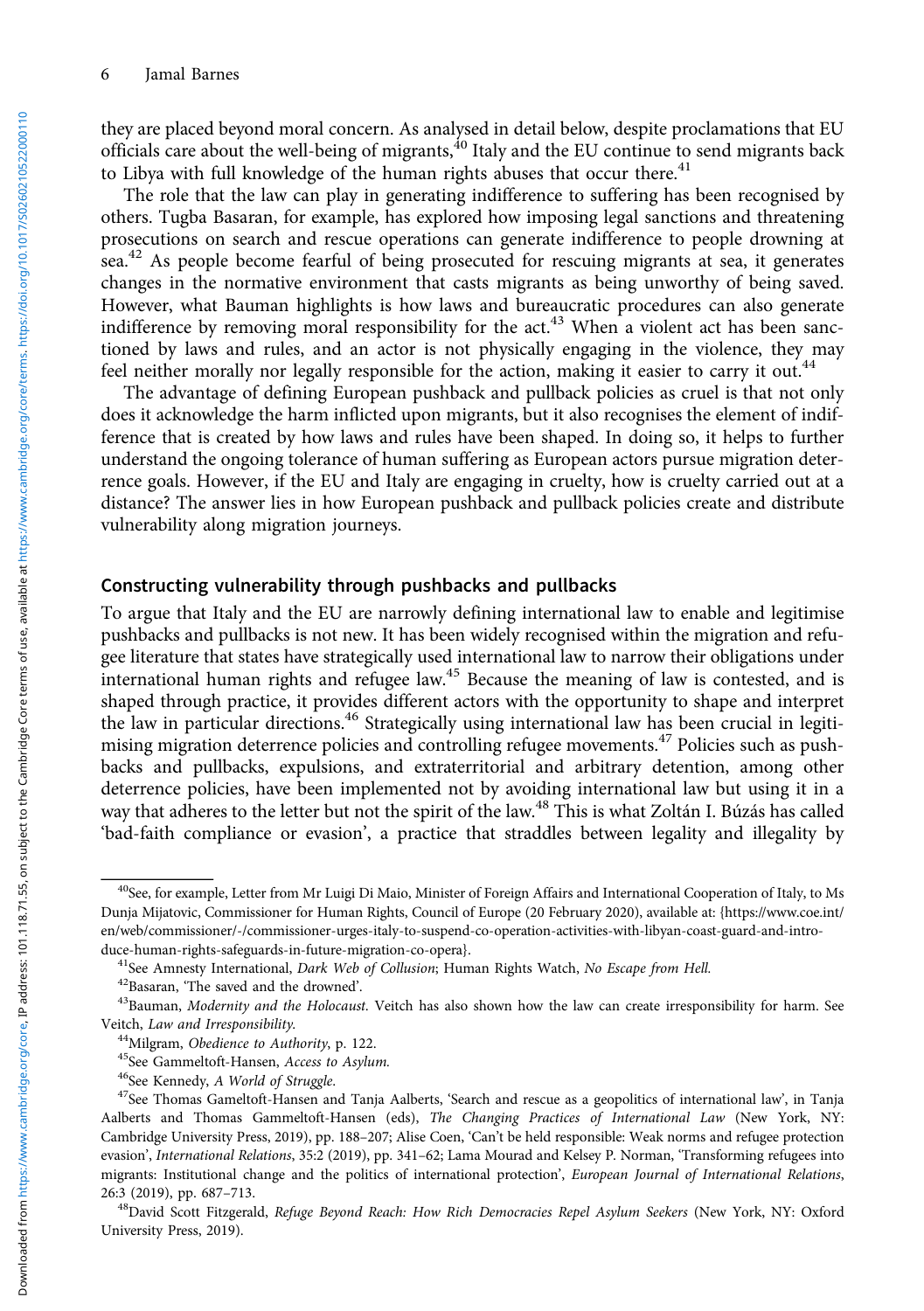they are placed beyond moral concern. As analysed in detail below, despite proclamations that EU officials care about the well-being of migrants,<sup>40</sup> Italy and the EU continue to send migrants back to Libya with full knowledge of the human rights abuses that occur there. $41$ 

The role that the law can play in generating indifference to suffering has been recognised by others. Tugba Basaran, for example, has explored how imposing legal sanctions and threatening prosecutions on search and rescue operations can generate indifference to people drowning at sea.<sup>42</sup> As people become fearful of being prosecuted for rescuing migrants at sea, it generates changes in the normative environment that casts migrants as being unworthy of being saved. However, what Bauman highlights is how laws and bureaucratic procedures can also generate indifference by removing moral responsibility for the act.<sup>43</sup> When a violent act has been sanctioned by laws and rules, and an actor is not physically engaging in the violence, they may feel neither morally nor legally responsible for the action, making it easier to carry it out.<sup>44</sup>

The advantage of defining European pushback and pullback policies as cruel is that not only does it acknowledge the harm inflicted upon migrants, but it also recognises the element of indifference that is created by how laws and rules have been shaped. In doing so, it helps to further understand the ongoing tolerance of human suffering as European actors pursue migration deterrence goals. However, if the EU and Italy are engaging in cruelty, how is cruelty carried out at a distance? The answer lies in how European pushback and pullback policies create and distribute vulnerability along migration journeys.

#### Constructing vulnerability through pushbacks and pullbacks

To argue that Italy and the EU are narrowly defining international law to enable and legitimise pushbacks and pullbacks is not new. It has been widely recognised within the migration and refugee literature that states have strategically used international law to narrow their obligations under international human rights and refugee law.<sup>45</sup> Because the meaning of law is contested, and is shaped through practice, it provides different actors with the opportunity to shape and interpret the law in particular directions.<sup>46</sup> Strategically using international law has been crucial in legitimising migration deterrence policies and controlling refugee movements.<sup>47</sup> Policies such as pushbacks and pullbacks, expulsions, and extraterritorial and arbitrary detention, among other deterrence policies, have been implemented not by avoiding international law but using it in a way that adheres to the letter but not the spirit of the law.<sup>48</sup> This is what Zoltán I. Búzás has called 'bad-faith compliance or evasion', a practice that straddles between legality and illegality by

<sup>&</sup>lt;sup>40</sup>See, for example, Letter from Mr Luigi Di Maio, Minister of Foreign Affairs and International Cooperation of Italy, to Ms Dunja Mijatovic, Commissioner for Human Rights, Council of Europe (20 February 2020), available at: {[https://www.coe.int/](https://www.coe.int/en/web/commissioner/-/commissioner-urges-italy-to-suspend-co-operation-activities-with-libyan-coast-guard-and-introduce-human-rights-safeguards-in-future-migration-co-opera) [en/web/commissioner/-/commissioner-urges-italy-to-suspend-co-operation-activities-with-libyan-coast-guard-and-intro-](https://www.coe.int/en/web/commissioner/-/commissioner-urges-italy-to-suspend-co-operation-activities-with-libyan-coast-guard-and-introduce-human-rights-safeguards-in-future-migration-co-opera)

[duce-human-rights-safeguards-in-future-migration-co-opera}](https://www.coe.int/en/web/commissioner/-/commissioner-urges-italy-to-suspend-co-operation-activities-with-libyan-coast-guard-and-introduce-human-rights-safeguards-in-future-migration-co-opera).<br><sup>41</sup>See Amnesty International, *Dark Web of Collusion*; Human Rights Watch, *No Escape from Hell.*<br><sup>42</sup>Basaran, 'The saved and the drowned'.<br><sup>43</sup>Bauman, *Modernit* Veitch, *Law and Irresponsibility.*<br><sup>44</sup>Milgram, *Obedience to Authority*, p. 122.<br><sup>45</sup>See Gammeltoft-Hansen, *Access to Asylum.*<br><sup>46</sup>See Kennedy, *A World of Struggle.*<br><sup>47</sup>See Thomas Gameltoft-Hansen and Tanja Aalberts,

Aalberts and Thomas Gammeltoft-Hansen (eds), The Changing Practices of International Law (New York, NY: Cambridge University Press, 2019), pp. 188–207; Alise Coen, 'Can't be held responsible: Weak norms and refugee protection evasion', International Relations, 35:2 (2019), pp. 341–62; Lama Mourad and Kelsey P. Norman, 'Transforming refugees into migrants: Institutional change and the politics of international protection', European Journal of International Relations, 26:3 (2019), pp. 687–713.<br><sup>48</sup>David Scott Fitzgerald, *Refuge Beyond Reach: How Rich Democracies Repel Asylum Seekers* (New York, NY: Oxford

University Press, 2019).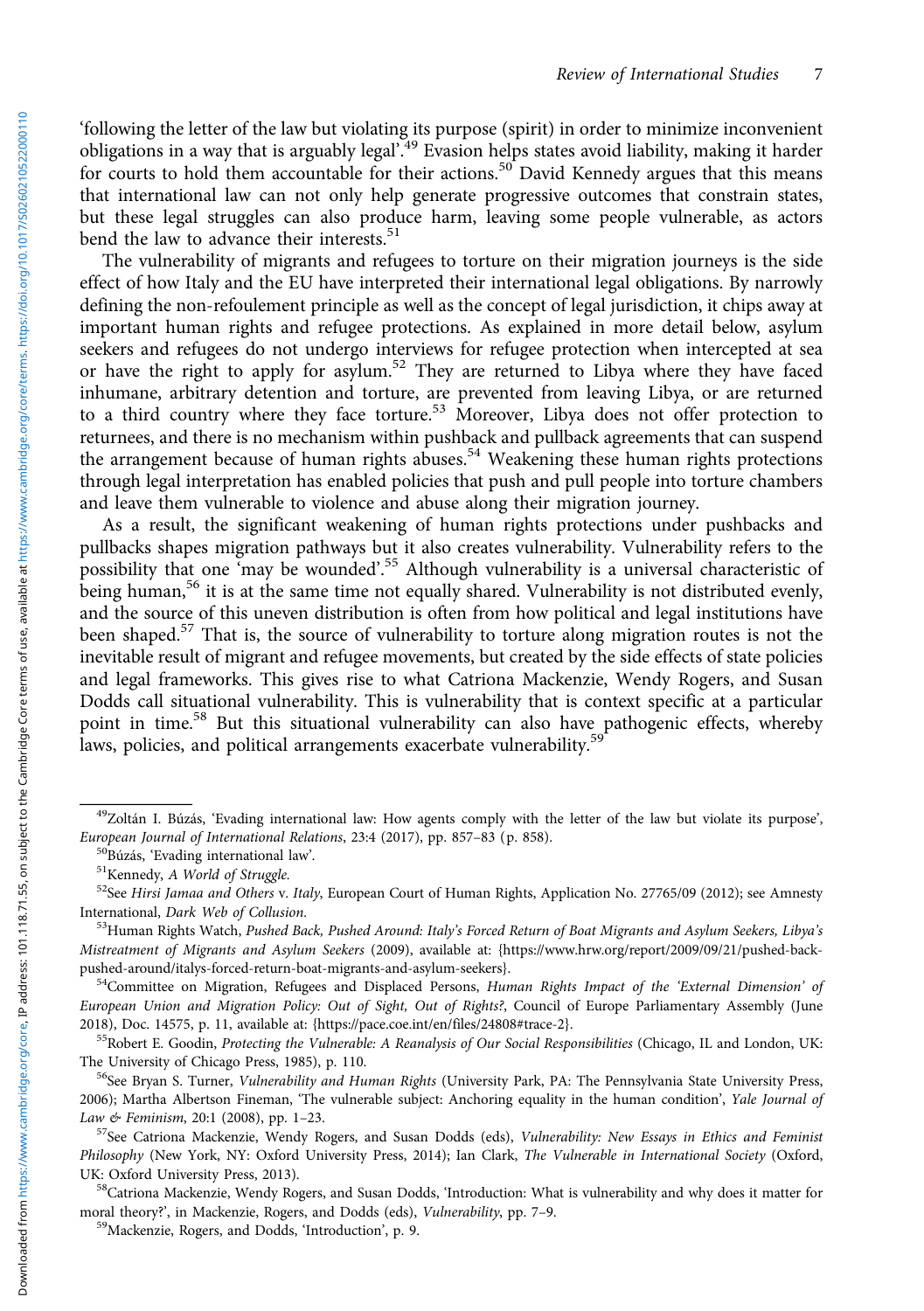'following the letter of the law but violating its purpose (spirit) in order to minimize inconvenient obligations in a way that is arguably legal<sup>749</sup> Evasion helps states avoid liability, making it harder for courts to hold them accountable for their actions.<sup>50</sup> David Kennedy argues that this means that international law can not only help generate progressive outcomes that constrain states, but these legal struggles can also produce harm, leaving some people vulnerable, as actors bend the law to advance their interests.<sup>51</sup>

The vulnerability of migrants and refugees to torture on their migration journeys is the side effect of how Italy and the EU have interpreted their international legal obligations. By narrowly defining the non-refoulement principle as well as the concept of legal jurisdiction, it chips away at important human rights and refugee protections. As explained in more detail below, asylum seekers and refugees do not undergo interviews for refugee protection when intercepted at sea or have the right to apply for asylum.<sup>52</sup> They are returned to Libya where they have faced inhumane, arbitrary detention and torture, are prevented from leaving Libya, or are returned to a third country where they face torture.<sup>53</sup> Moreover, Libya does not offer protection to returnees, and there is no mechanism within pushback and pullback agreements that can suspend the arrangement because of human rights abuses.<sup>54</sup> Weakening these human rights protections through legal interpretation has enabled policies that push and pull people into torture chambers and leave them vulnerable to violence and abuse along their migration journey.

As a result, the significant weakening of human rights protections under pushbacks and pullbacks shapes migration pathways but it also creates vulnerability. Vulnerability refers to the possibility that one 'may be wounded'.<sup>55</sup> Although vulnerability is a universal characteristic of being human,<sup>56</sup> it is at the same time not equally shared. Vulnerability is not distributed evenly, and the source of this uneven distribution is often from how political and legal institutions have been shaped.<sup>57</sup> That is, the source of vulnerability to torture along migration routes is not the inevitable result of migrant and refugee movements, but created by the side effects of state policies and legal frameworks. This gives rise to what Catriona Mackenzie, Wendy Rogers, and Susan Dodds call situational vulnerability. This is vulnerability that is context specific at a particular point in time.<sup>58</sup> But this situational vulnerability can also have pathogenic effects, whereby laws, policies, and political arrangements exacerbate vulnerability.<sup>59</sup>

<sup>54</sup>Committee on Migration, Refugees and Displaced Persons, Human Rights Impact of the 'External Dimension' of European Union and Migration Policy: Out of Sight, Out of Rights?, Council of Europe Parliamentary Assembly (June 2018), Doc. 14575, p. 11, available at: {https://pace.coe.int/en/files/24808#trace-2}.

<sup>55</sup>Robert E. Goodin, Protecting the Vulnerable: A Reanalysis of Our Social Responsibilities (Chicago, IL and London, UK: The University of Chicago Press, 1985), p. 110.<br><sup>56</sup>See Bryan S. Turner, *Vulnerability and Human Rights* (University Park, PA: The Pennsylvania State University Press,

2006); Martha Albertson Fineman, 'The vulnerable subject: Anchoring equality in the human condition', Yale Journal of Law & Feminism, 20:1 (2008), pp. 1–23.<br><sup>57</sup>See Catriona Mackenzie, Wendy Rogers, and Susan Dodds (eds), *Vulnerability: New Essays in Ethics and Feminist* 

Philosophy (New York, NY: Oxford University Press, 2014); Ian Clark, The Vulnerable in International Society (Oxford, UK: Oxford University Press, 2013).<br><sup>58</sup>Catriona Mackenzie, Wendy Rogers, and Susan Dodds, 'Introduction: What is vulnerability and why does it matter for

moral theory?', in Mackenzie, Rogers, and Dodds (eds), *Vulnerability*, pp. 7–9. <sup>59</sup>Mackenzie, Rogers, and Dodds, 'Introduction', p. 9.

 $^{49}$ Zoltán I. Búzás, 'Evading international law: How agents comply with the letter of the law but violate its purpose', European Journal of International Relations, 23:4 (2017), pp. 857-83 (p. 858).

<sup>&</sup>lt;sup>50</sup>Búzás, 'Evading international law'.<br><sup>51</sup>Kennedy, *A World of Struggle.*<br><sup>52</sup>See *Hirsi Jamaa and Others v. Italy*, European Court of Human Rights, Application No. 27765/09 (2012); see Amnesty<br>International, *Dark Web* 

<sup>&</sup>lt;sup>53</sup>Human Rights Watch, Pushed Back, Pushed Around: Italy's Forced Return of Boat Migrants and Asylum Seekers, Libya's Mistreatment of Migrants and Asylum Seekers (2009), available at: {[https://www.hrw.org/report/2009/09/21/pushed-back-](https://www.hrw.org/report/2009/09/21/pushed-back-pushed-around/italys-forced-return-boat-migrants-and-asylum-seekers)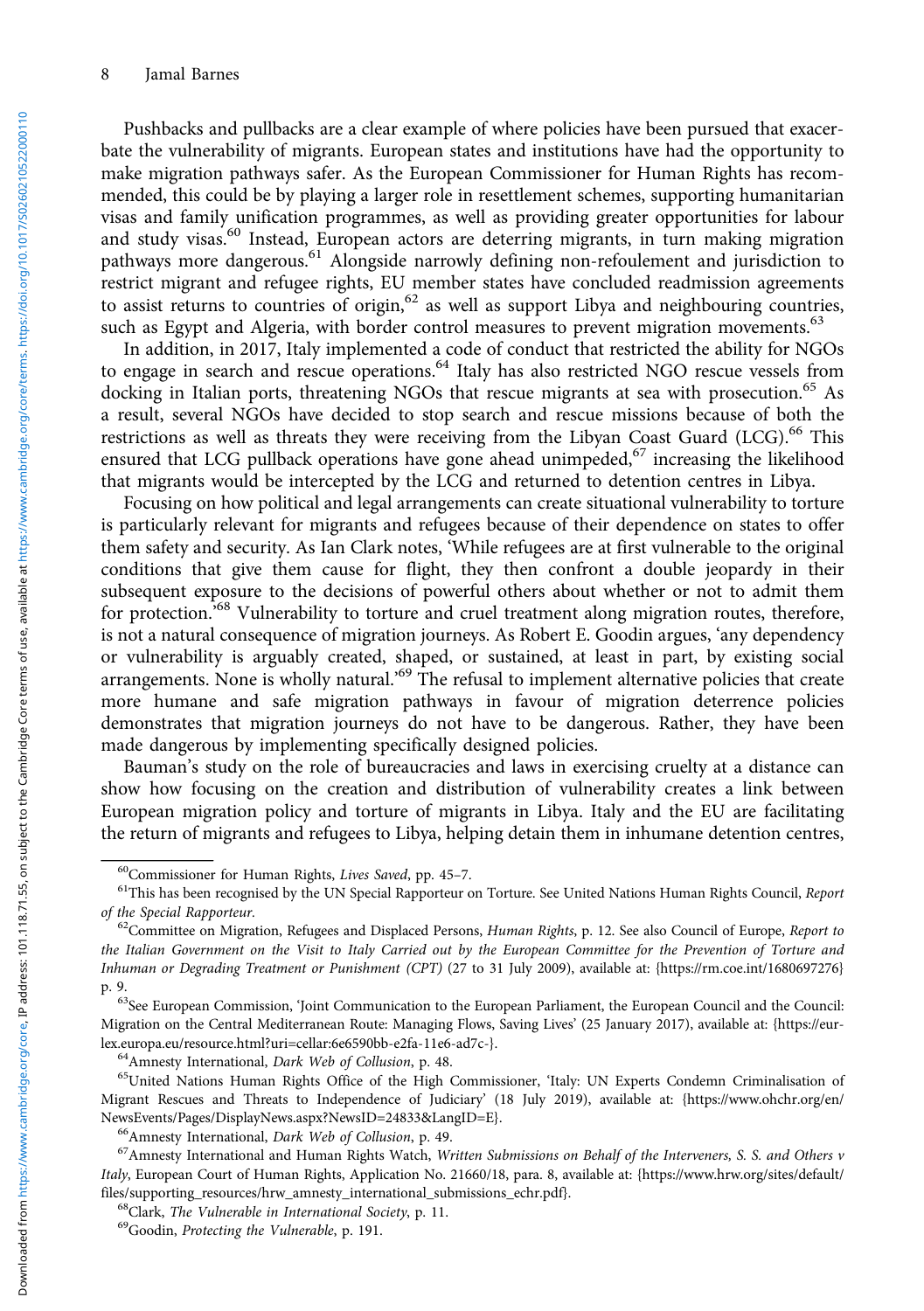Pushbacks and pullbacks are a clear example of where policies have been pursued that exacerbate the vulnerability of migrants. European states and institutions have had the opportunity to make migration pathways safer. As the European Commissioner for Human Rights has recommended, this could be by playing a larger role in resettlement schemes, supporting humanitarian visas and family unification programmes, as well as providing greater opportunities for labour and study visas.<sup>60</sup> Instead, European actors are deterring migrants, in turn making migration pathways more dangerous.<sup>61</sup> Alongside narrowly defining non-refoulement and jurisdiction to restrict migrant and refugee rights, EU member states have concluded readmission agreements to assist returns to countries of origin,<sup>62</sup> as well as support Libya and neighbouring countries, such as Egypt and Algeria, with border control measures to prevent migration movements.<sup>63</sup>

In addition, in 2017, Italy implemented a code of conduct that restricted the ability for NGOs to engage in search and rescue operations.<sup>64</sup> Italy has also restricted NGO rescue vessels from docking in Italian ports, threatening NGOs that rescue migrants at sea with prosecution.<sup>65</sup> As a result, several NGOs have decided to stop search and rescue missions because of both the restrictions as well as threats they were receiving from the Libyan Coast Guard (LCG).<sup>66</sup> This ensured that LCG pullback operations have gone ahead unimpeded,<sup>67</sup> increasing the likelihood that migrants would be intercepted by the LCG and returned to detention centres in Libya.

Focusing on how political and legal arrangements can create situational vulnerability to torture is particularly relevant for migrants and refugees because of their dependence on states to offer them safety and security. As Ian Clark notes, 'While refugees are at first vulnerable to the original conditions that give them cause for flight, they then confront a double jeopardy in their subsequent exposure to the decisions of powerful others about whether or not to admit them for protection.<sup>568</sup> Vulnerability to torture and cruel treatment along migration routes, therefore, is not a natural consequence of migration journeys. As Robert E. Goodin argues, 'any dependency or vulnerability is arguably created, shaped, or sustained, at least in part, by existing social arrangements. None is wholly natural.<sup>569</sup> The refusal to implement alternative policies that create more humane and safe migration pathways in favour of migration deterrence policies demonstrates that migration journeys do not have to be dangerous. Rather, they have been made dangerous by implementing specifically designed policies.

Bauman's study on the role of bureaucracies and laws in exercising cruelty at a distance can show how focusing on the creation and distribution of vulnerability creates a link between European migration policy and torture of migrants in Libya. Italy and the EU are facilitating the return of migrants and refugees to Libya, helping detain them in inhumane detention centres,

<sup>&</sup>lt;sup>60</sup>Commissioner for Human Rights, *Lives Saved*, pp. 45–7.<br><sup>61</sup>This has been recognised by the UN Special Rapporteur on Torture. See United Nations Human Rights Council, *Report* of the Special Rapporteur.<br><sup>62</sup>Committee on Migration, Refugees and Displaced Persons, *Human Rights*, p. 12. See also Council of Europe, *Report to* 

the Italian Government on the Visit to Italy Carried out by the European Committee for the Prevention of Torture and Inhuman or Degrading Treatment or Punishment (CPT) (27 to 31 July 2009), available at: {[https://rm.coe.int/1680697276}](https://rm.coe.int/1680697276)

p. 9.<br><sup>63</sup>See European Commission, 'Joint Communication to the European Parliament, the European Council and the Council: Migration on the Central Mediterranean Route: Managing Flows, Saving Lives' (25 January 2017), available at: [{https://eur](https://eur-lex.europa.eu/resource.html?uri=cellar:6e6590bb-e2fa-11e6-ad7c)[lex.europa.eu/resource.html?uri=cellar:6e6590bb-e2fa-11e6-ad7c](https://eur-lex.europa.eu/resource.html?uri=cellar:6e6590bb-e2fa-11e6-ad7c)-}.<br><sup>64</sup>Amnesty International, *Dark Web of Collusion*, p. 48.<br><sup>65</sup>United Nations Human Rights Office of the High Commissioner, 'Italy: UN Experts Condemn Crimi

Migrant Rescues and Threats to Independence of Judiciary' (18 July 2019), available at: {[https://www.ohchr.org/en/](https://www.ohchr.org/en/NewsEvents/Pages/DisplayNews.aspx?NewsID=24833&LangID=E) [NewsEvents/Pages/DisplayNews.aspx?NewsID=24833&LangID=E}](https://www.ohchr.org/en/NewsEvents/Pages/DisplayNews.aspx?NewsID=24833&LangID=E).<br><sup>66</sup>Amnesty International, *Dark Web of Collusion*, p. 49.<br><sup>67</sup>Amnesty International and Human Rights Watch, *Written Submissions on Behalf of the Interveners*, *S.* 

Italy, European Court of Human Rights, Application No. 21660/18, para. 8, available at: {[https://www.hrw.org/sites/default/](https://www.hrw.org/sites/default/files/supporting_resources/hrw_amnesty_international_submissions_echr.pdf) [files/supporting\\_resources/hrw\\_amnesty\\_international\\_submissions\\_echr.pdf](https://www.hrw.org/sites/default/files/supporting_resources/hrw_amnesty_international_submissions_echr.pdf)}.<br><sup>68</sup>Clark, *The Vulnerable in International Society*, p. 11.<br><sup>69</sup>Goodin, *Protecting the Vulnerable*, p. 191.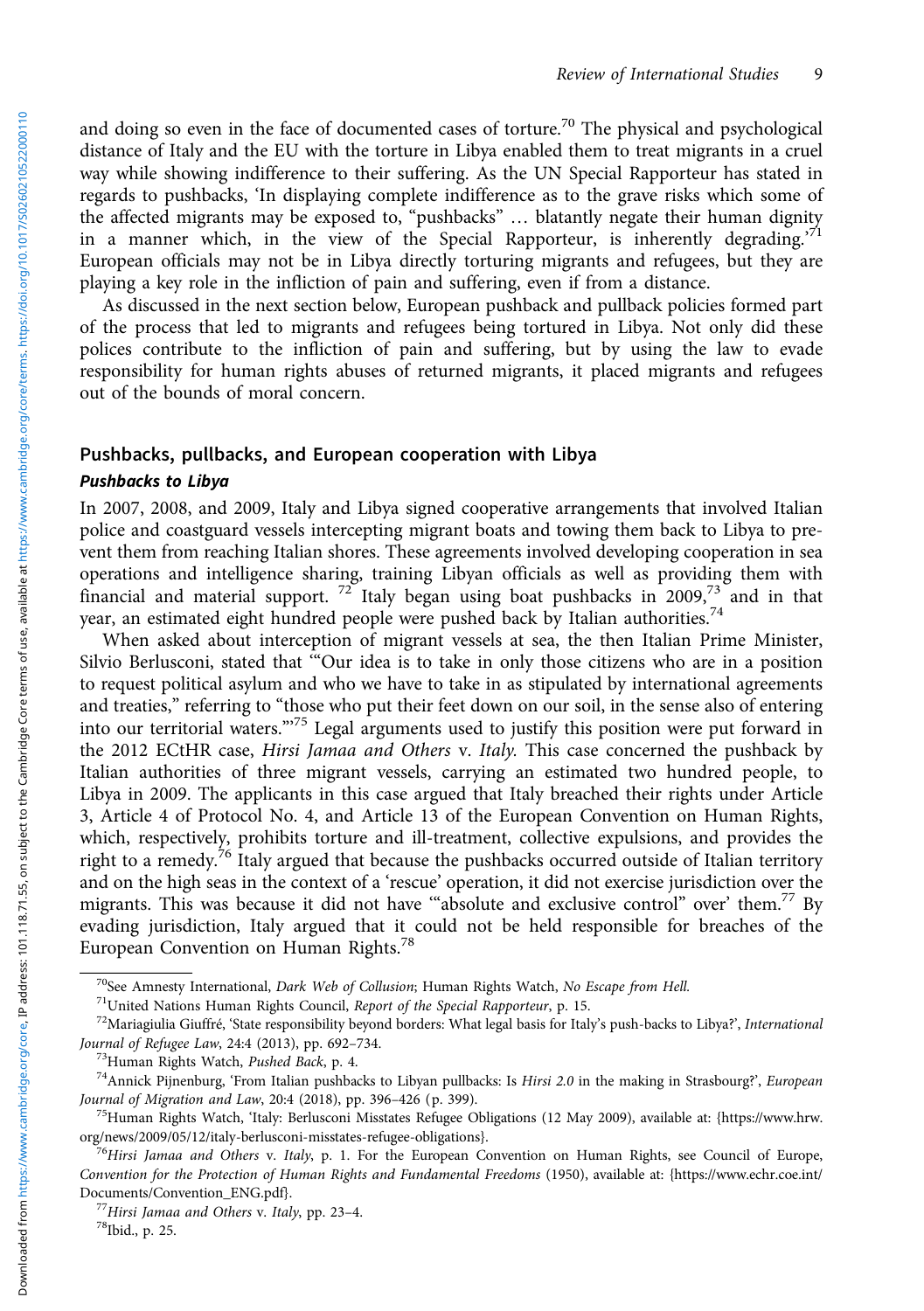and doing so even in the face of documented cases of torture.<sup>70</sup> The physical and psychological distance of Italy and the EU with the torture in Libya enabled them to treat migrants in a cruel way while showing indifference to their suffering. As the UN Special Rapporteur has stated in regards to pushbacks, 'In displaying complete indifference as to the grave risks which some of the affected migrants may be exposed to, "pushbacks" … blatantly negate their human dignity in a manner which, in the view of the Special Rapporteur, is inherently degrading.<sup>71</sup> European officials may not be in Libya directly torturing migrants and refugees, but they are playing a key role in the infliction of pain and suffering, even if from a distance.

As discussed in the next section below, European pushback and pullback policies formed part of the process that led to migrants and refugees being tortured in Libya. Not only did these polices contribute to the infliction of pain and suffering, but by using the law to evade responsibility for human rights abuses of returned migrants, it placed migrants and refugees out of the bounds of moral concern.

#### Pushbacks, pullbacks, and European cooperation with Libya

#### Pushbacks to Libya

In 2007, 2008, and 2009, Italy and Libya signed cooperative arrangements that involved Italian police and coastguard vessels intercepting migrant boats and towing them back to Libya to prevent them from reaching Italian shores. These agreements involved developing cooperation in sea operations and intelligence sharing, training Libyan officials as well as providing them with financial and material support.  $72^\circ$  Italy began using boat pushbacks in 2009, $73^\circ$  and in that year, an estimated eight hundred people were pushed back by Italian authorities.<sup>74</sup>

When asked about interception of migrant vessels at sea, the then Italian Prime Minister, Silvio Berlusconi, stated that '"Our idea is to take in only those citizens who are in a position to request political asylum and who we have to take in as stipulated by international agreements and treaties," referring to "those who put their feet down on our soil, in the sense also of entering into our territorial waters."<sup>75</sup> Legal arguments used to justify this position were put forward in the 2012 ECtHR case, Hirsi Jamaa and Others v. Italy. This case concerned the pushback by Italian authorities of three migrant vessels, carrying an estimated two hundred people, to Libya in 2009. The applicants in this case argued that Italy breached their rights under Article 3, Article 4 of Protocol No. 4, and Article 13 of the European Convention on Human Rights, which, respectively, prohibits torture and ill-treatment, collective expulsions, and provides the right to a remedy.<sup>76</sup> Italy argued that because the pushbacks occurred outside of Italian territory and on the high seas in the context of a 'rescue' operation, it did not exercise jurisdiction over the migrants. This was because it did not have '"absolute and exclusive control" over' them.77 By evading jurisdiction, Italy argued that it could not be held responsible for breaches of the European Convention on Human Rights.<sup>78</sup>

<sup>&</sup>lt;sup>70</sup>See Amnesty International, *Dark Web of Collusion*; Human Rights Watch, *No Escape from Hell.*<br><sup>71</sup>United Nations Human Rights Council, *Report of the Special Rapporteur*, p. 15.<br><sup>72</sup>Mariagiulia Giuffré, 'State respon

<sup>&</sup>lt;sup>73</sup>Human Rights Watch, *Pushed Back*, p. 4.<br><sup>74</sup>Annick Pijnenburg, 'From Italian pushbacks to Libyan pullbacks: Is *Hirsi 2.0* in the making in Strasbourg?', *European* Journal of Migration and Law, 20:4 (2018), pp. 396–

 $^{75}$ Human Rights Watch, 'Italy: Berlusconi Misstates Refugee Obligations (12 May 2009), available at: [{https://www.hrw.](https://www.hrw.org/news/2009/05/12/italy-berlusconi-misstates-refugee-obligations) org/news/2009/05/12/italy-berlusconi-misstates-refugee-obligations}.

<sup>&</sup>lt;sup>76</sup>Hirsi Jamaa and Others v. Italy, p. 1. For the European Convention on Human Rights, see Council of Europe, Convention for the Protection of Human Rights and Fundamental Freedoms (1950), available at: [{https://www.echr.coe.int/](https://www.echr.coe.int/Documents/Convention_ENG.pdf)

<sup>&</sup>lt;sup>77</sup>Hirsi Jamaa and Others v. Italy, pp. 23–4. <sup>78</sup>Ibid., p. 25.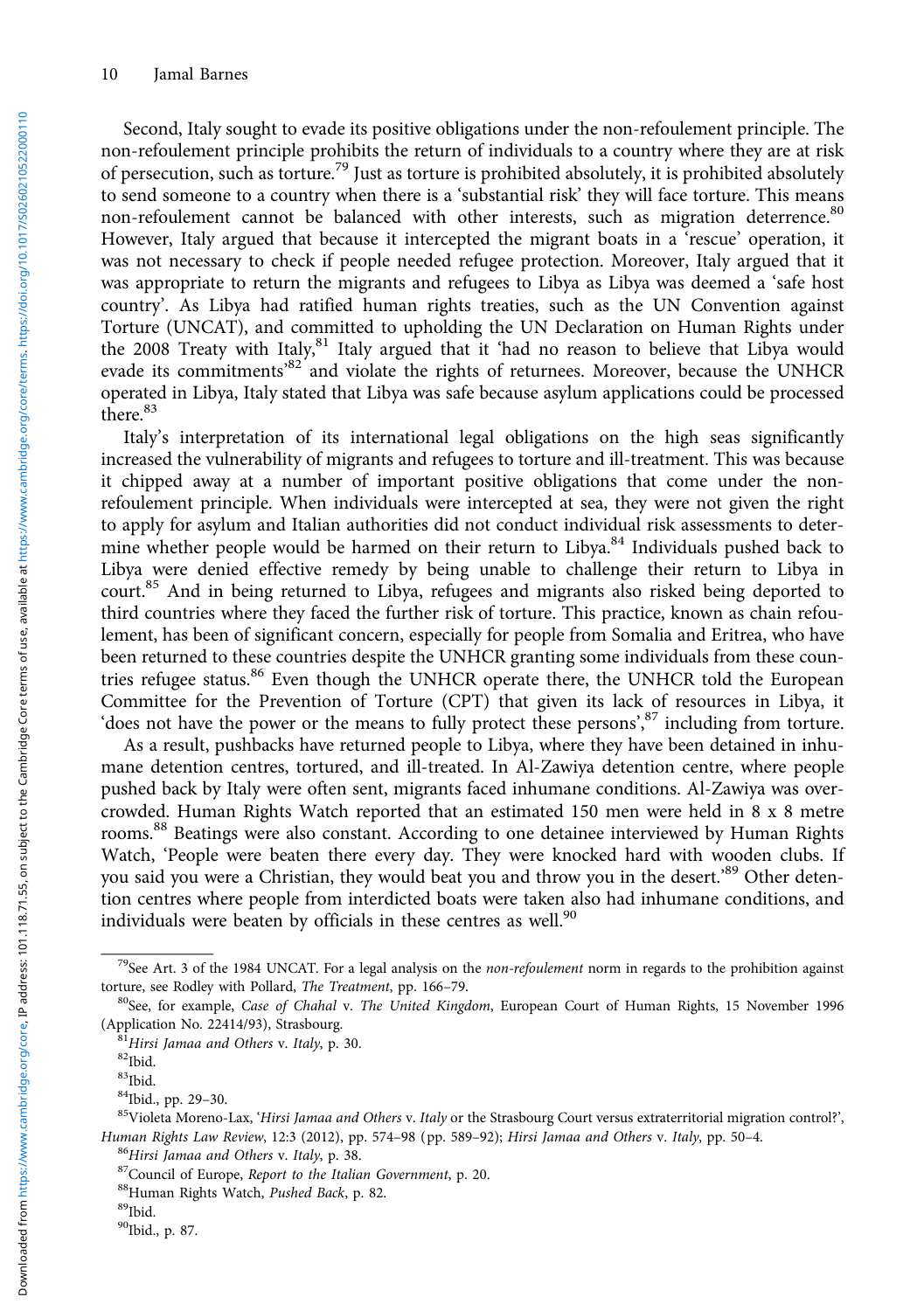Second, Italy sought to evade its positive obligations under the non-refoulement principle. The non-refoulement principle prohibits the return of individuals to a country where they are at risk of persecution, such as torture.<sup>79</sup> Just as torture is prohibited absolutely, it is prohibited absolutely to send someone to a country when there is a 'substantial risk' they will face torture. This means non-refoulement cannot be balanced with other interests, such as migration deterrence.<sup>80</sup> However, Italy argued that because it intercepted the migrant boats in a 'rescue' operation, it was not necessary to check if people needed refugee protection. Moreover, Italy argued that it was appropriate to return the migrants and refugees to Libya as Libya was deemed a 'safe host country'. As Libya had ratified human rights treaties, such as the UN Convention against Torture (UNCAT), and committed to upholding the UN Declaration on Human Rights under the 2008 Treaty with Italy,<sup>81</sup> Italy argued that it 'had no reason to believe that Libya would evade its commitments<sup>82</sup> and violate the rights of returnees. Moreover, because the UNHCR operated in Libya, Italy stated that Libya was safe because asylum applications could be processed there.<sup>83</sup>

Italy's interpretation of its international legal obligations on the high seas significantly increased the vulnerability of migrants and refugees to torture and ill-treatment. This was because it chipped away at a number of important positive obligations that come under the nonrefoulement principle. When individuals were intercepted at sea, they were not given the right to apply for asylum and Italian authorities did not conduct individual risk assessments to determine whether people would be harmed on their return to Libya. $84$  Individuals pushed back to Libya were denied effective remedy by being unable to challenge their return to Libya in court.<sup>85</sup> And in being returned to Libya, refugees and migrants also risked being deported to third countries where they faced the further risk of torture. This practice, known as chain refoulement, has been of significant concern, especially for people from Somalia and Eritrea, who have been returned to these countries despite the UNHCR granting some individuals from these countries refugee status.<sup>86</sup> Even though the UNHCR operate there, the UNHCR told the European Committee for the Prevention of Torture (CPT) that given its lack of resources in Libya, it 'does not have the power or the means to fully protect these persons', 87 including from torture.

As a result, pushbacks have returned people to Libya, where they have been detained in inhumane detention centres, tortured, and ill-treated. In Al-Zawiya detention centre, where people pushed back by Italy were often sent, migrants faced inhumane conditions. Al-Zawiya was overcrowded. Human Rights Watch reported that an estimated 150 men were held in 8 x 8 metre rooms.<sup>88</sup> Beatings were also constant. According to one detainee interviewed by Human Rights Watch, 'People were beaten there every day. They were knocked hard with wooden clubs. If you said you were a Christian, they would beat you and throw you in the desert.<sup>89</sup> Other detention centres where people from interdicted boats were taken also had inhumane conditions, and individuals were beaten by officials in these centres as well.<sup>90</sup>

<sup>&</sup>lt;sup>79</sup>See Art. 3 of the 1984 UNCAT. For a legal analysis on the *non-refoulement* norm in regards to the prohibition against

torture, see Rodley with Pollard, *The Treatment*, pp. 166–79.<br><sup>80</sup>See, for example, *Case of Chahal v. The United Kingdom*, European Court of Human Rights, 15 November 1996<br>(Application No. 22414/93), Strasbourg.

 $\frac{81}{12}$ Hirsi Jamaa and Others v. Italy, p. 30.  $\frac{82}{100}$ 

 $^{83}$ Ibid.<br> $^{84}$ Ibid., pp. 29–30.

<sup>85</sup>Violeta Moreno-Lax, 'Hirsi Jamaa and Others v. Italy or the Strasbourg Court versus extraterritorial migration control?', Human Rights Law Review, 12:3 (2012), pp. 574–98 (pp. 589–92); Hirsi Jamaa and Others v. Italy, pp. 50–4.<br><sup>86</sup>Hirsi Jamaa and Others v. Italy, p. 38.<br><sup>87</sup>Council of Europe, *Report to the Italian Government*, p. 20.<br><sup>88</sup>Hu

<sup>&</sup>lt;sup>90</sup>Ibid., p. 87.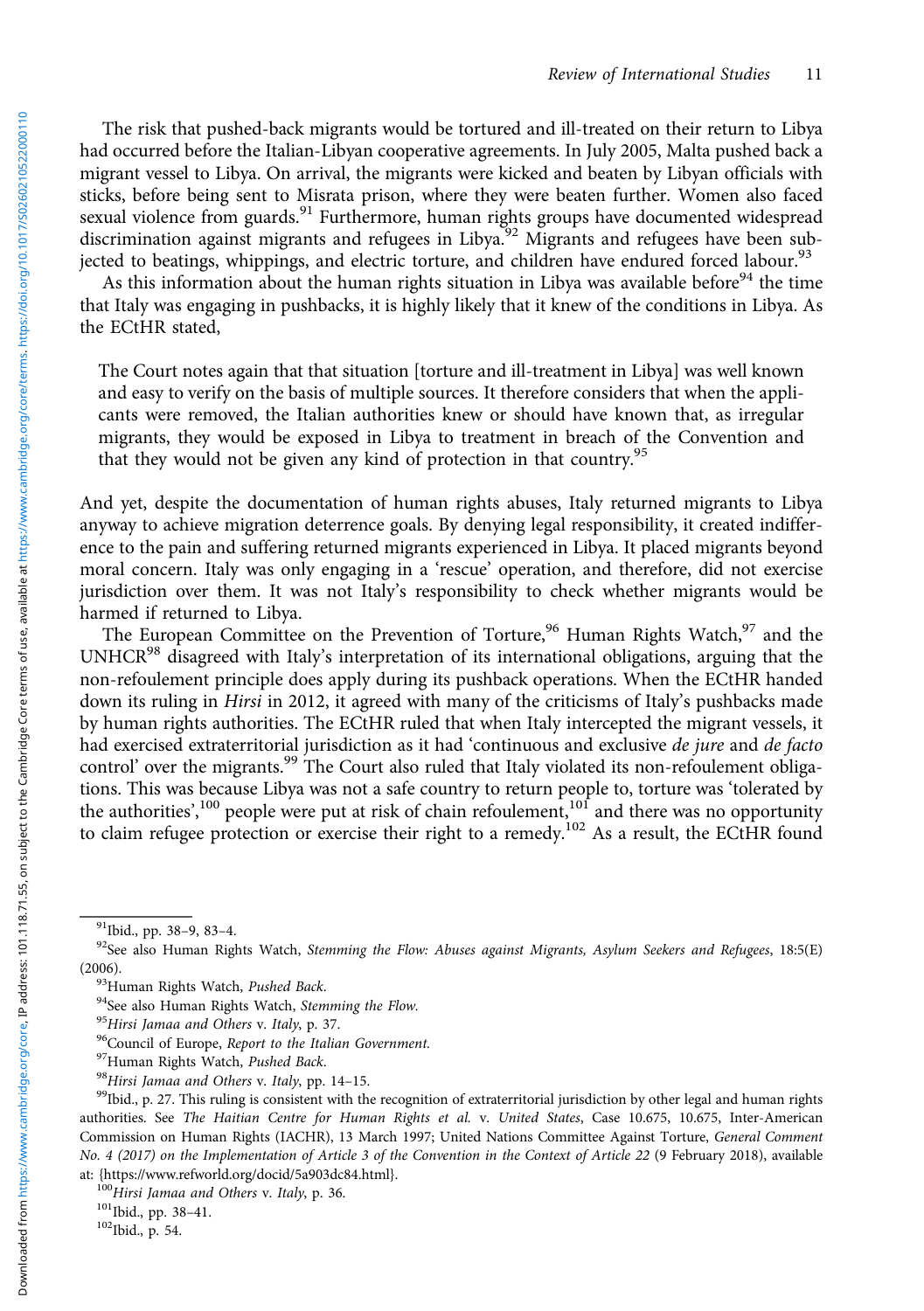The risk that pushed-back migrants would be tortured and ill-treated on their return to Libya had occurred before the Italian-Libyan cooperative agreements. In July 2005, Malta pushed back a migrant vessel to Libya. On arrival, the migrants were kicked and beaten by Libyan officials with sticks, before being sent to Misrata prison, where they were beaten further. Women also faced sexual violence from guards.<sup>91</sup> Furthermore, human rights groups have documented widespread discrimination against migrants and refugees in Libya.<sup>92</sup> Migrants and refugees have been subjected to beatings, whippings, and electric torture, and children have endured forced labour.<sup>93</sup>

As this information about the human rights situation in Libya was available before<sup>94</sup> the time that Italy was engaging in pushbacks, it is highly likely that it knew of the conditions in Libya. As the ECtHR stated,

The Court notes again that that situation [torture and ill-treatment in Libya] was well known and easy to verify on the basis of multiple sources. It therefore considers that when the applicants were removed, the Italian authorities knew or should have known that, as irregular migrants, they would be exposed in Libya to treatment in breach of the Convention and that they would not be given any kind of protection in that country.<sup>95</sup>

And yet, despite the documentation of human rights abuses, Italy returned migrants to Libya anyway to achieve migration deterrence goals. By denying legal responsibility, it created indifference to the pain and suffering returned migrants experienced in Libya. It placed migrants beyond moral concern. Italy was only engaging in a 'rescue' operation, and therefore, did not exercise jurisdiction over them. It was not Italy's responsibility to check whether migrants would be harmed if returned to Libya.

The European Committee on the Prevention of Torture,<sup>96</sup> Human Rights Watch,<sup>97</sup> and the UNHCR<sup>98</sup> disagreed with Italy's interpretation of its international obligations, arguing that the non-refoulement principle does apply during its pushback operations. When the ECtHR handed down its ruling in *Hirsi* in 2012, it agreed with many of the criticisms of Italy's pushbacks made by human rights authorities. The ECtHR ruled that when Italy intercepted the migrant vessels, it had exercised extraterritorial jurisdiction as it had 'continuous and exclusive de jure and de facto control' over the migrants.<sup>99</sup> The Court also ruled that Italy violated its non-refoulement obligations. This was because Libya was not a safe country to return people to, torture was 'tolerated by the authorities',<sup>100</sup> people were put at risk of chain refoulement,<sup>101</sup> and there was no opportunity to claim refugee protection or exercise their right to a remedy.<sup>102</sup> As a result, the ECtHR found

<sup>&</sup>lt;sup>91</sup>Ibid., pp. 38–9, 83–4.<br><sup>92</sup>See also Human Rights Watch, *Stemming the Flow: Abuses against Migrants, Asylum Seekers and Refugees, 18:5(E)* (2006).<br><sup>93</sup>Human Rights Watch, *Pushed Back.*<br><sup>94</sup>See also Human Rights Watch, *Stemming the Flow.*<br><sup>95</sup>Hirsi Jamaa and Others v. Italy, p. 37.<br><sup>96</sup>Council of Europe, *Report to the Italian Government.*<br><sup>97</sup>Human Rights

authorities. See The Haitian Centre for Human Rights et al. v. United States, Case 10.675, 10.675, Inter-American Commission on Human Rights (IACHR), 13 March 1997; United Nations Committee Against Torture, General Comment No. 4 (2017) on the Implementation of Article 3 of the Convention in the Context of Article 22 (9 February 2018), available

at: [{https://www.refworld.org/docid/5a903dc84.html](https://www.refworld.org/docid/5a903dc84.html)}.  $100$ Hirsi Jamaa and Others v. Italy, p. 36.  $101$ Ibid., pp. 38–41.  $102$ Ibid., p. 54.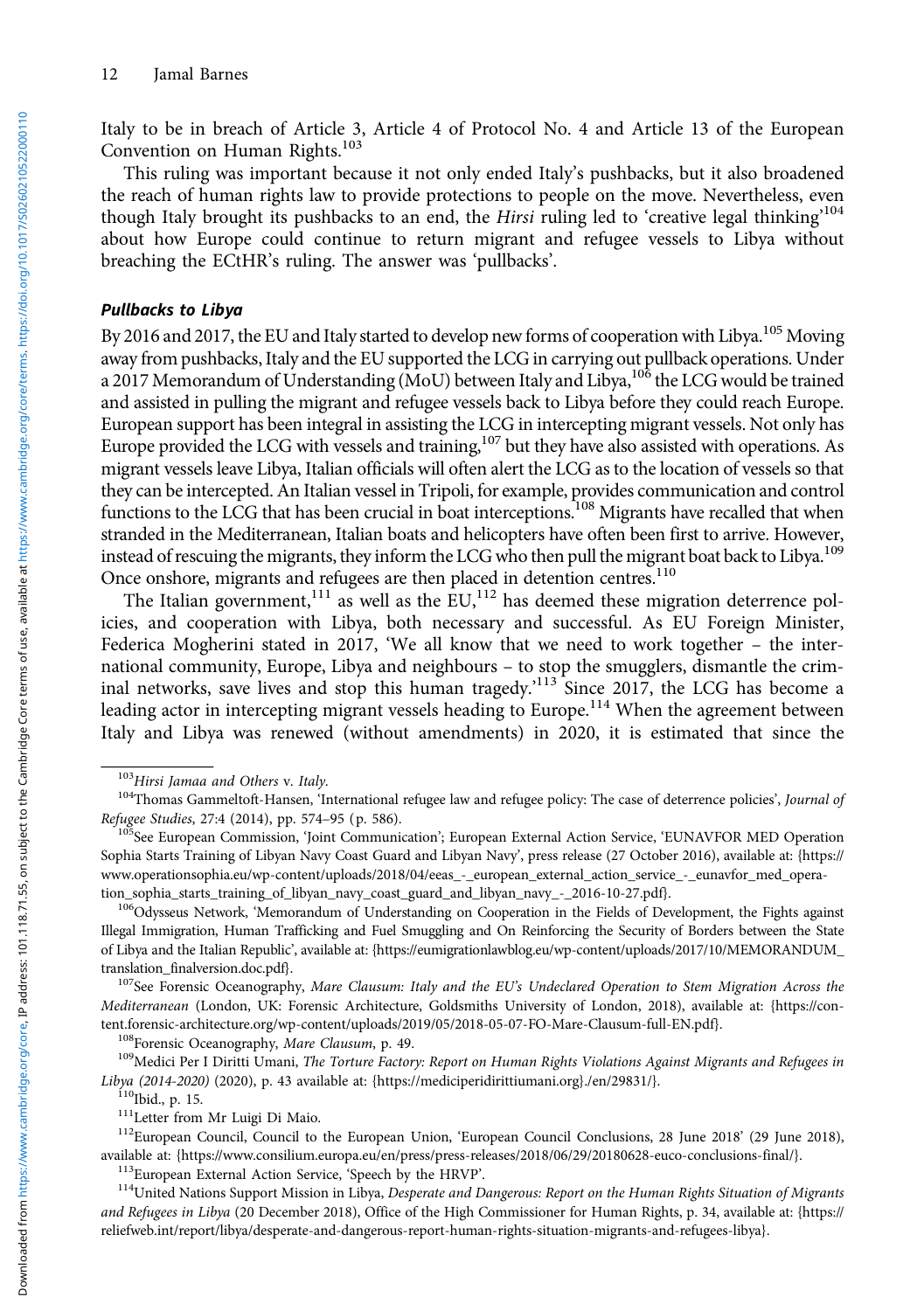Italy to be in breach of Article 3, Article 4 of Protocol No. 4 and Article 13 of the European Convention on Human Rights.<sup>103</sup>

This ruling was important because it not only ended Italy's pushbacks, but it also broadened the reach of human rights law to provide protections to people on the move. Nevertheless, even though Italy brought its pushbacks to an end, the Hirsi ruling led to 'creative legal thinking<sup>104</sup> about how Europe could continue to return migrant and refugee vessels to Libya without breaching the ECtHR's ruling. The answer was 'pullbacks'.

#### Pullbacks to Libya

By 2016 and 2017, the EU and Italy started to develop new forms of cooperation with Libya.<sup>105</sup> Moving away from pushbacks, Italy and the EU supported the LCG in carrying out pullback operations. Under a 2017 Memorandum of Understanding (MoU) between Italy and Libya, <sup>106</sup> the LCG would be trained and assisted in pulling the migrant and refugee vessels back to Libya before they could reach Europe. European support has been integral in assisting the LCG in intercepting migrant vessels. Not only has Europe provided the LCG with vessels and training,<sup>107</sup> but they have also assisted with operations. As migrant vessels leave Libya, Italian officials will often alert the LCG as to the location of vessels so that they can be intercepted. An Italian vessel in Tripoli, for example, provides communication and control functions to the LCG that has been crucial in boat interceptions.<sup>108</sup> Migrants have recalled that when stranded in the Mediterranean, Italian boats and helicopters have often been first to arrive. However, instead of rescuing the migrants, they inform the LCG who then pull the migrant boat back to Libya.<sup>109</sup> Once onshore, migrants and refugees are then placed in detention centres.<sup>110</sup>

The Italian government,<sup>111</sup> as well as the  $\text{EU}$ ,<sup>112</sup> has deemed these migration deterrence policies, and cooperation with Libya, both necessary and successful. As EU Foreign Minister, Federica Mogherini stated in 2017, 'We all know that we need to work together – the international community, Europe, Libya and neighbours – to stop the smugglers, dismantle the criminal networks, save lives and stop this human tragedy.'<sup>113</sup> Since 2017, the LCG has become a leading actor in intercepting migrant vessels heading to Europe.<sup>114</sup> When the agreement between Italy and Libya was renewed (without amendments) in 2020, it is estimated that since the

Mediterranean (London, UK: Forensic Architecture, Goldsmiths University of London, 2018), available at: {https://con-<br>tent.forensic-architecture.org/wp-content/uploads/2019/05/2018-05-07-FO-Mare-Clausum-full-EN.pdf}.

<sup>108</sup>Forensic Oceanography, *Mare Clausum*, p. 49.<br><sup>109</sup>Medici Per I Diritti Umani, *The Torture Factory: Report on Human Rights Violations Against Migrants and Refugees in*<br>Libya (2014-2020) (2020), p. 43 available at: {h

<sup>110</sup>Ibid., p. 15.<br><sup>111</sup>Letter from Mr Luigi Di Maio.<br><sup>112</sup>European Council, Council to the European Union, 'European Council Conclusions, 28 June 2018' (29 June 2018), available at: {[https://www.consilium.europa.eu/en/press/press-releases/2018/06/29/20180628-euco-conclusions-final/}](https://www.consilium.europa.eu/en/press/press-releases/2018/06/29/20180628-euco-conclusions-final/).<br><sup>113</sup>European External Action Service, 'Speech by the HRVP'.<br><sup>114</sup>United Nations Support Mission in Libya

and Refugees in Libya (20 December 2018), Office of the High Commissioner for Human Rights, p. 34, available at: [{https://](https://reliefweb.int/report/libya/desperate-and-dangerous-report-human-rights-situation-migrants-and-refugees-libya) [reliefweb.int/report/libya/desperate-and-dangerous-report-human-rights-situation-migrants-and-refugees-libya](https://reliefweb.int/report/libya/desperate-and-dangerous-report-human-rights-situation-migrants-and-refugees-libya)}.

<sup>&</sup>lt;sup>103</sup>Hirsi Jamaa and Others v. Italy.<br><sup>104</sup>Thomas Gammeltoft-Hansen, 'International refugee law and refugee policy: The case of deterrence policies', Journal of Refugee Studies, 27:4 (2014), pp. 574–95 (p. 586).<br><sup>105</sup>See European Commission, 'Joint Communication'; European External Action Service, 'EUNAVFOR MED Operation

Sophia Starts Training of Libyan Navy Coast Guard and Libyan Navy', press release (27 October 2016), available at: [{https://](https://www.operationsophia.eu/wp-content/uploads/2018/04/eeas_-_european_external_action_service_-_eunavfor_med_operation_sophia_starts_training_of_libyan_navy_coast_guard_and_libyan_navy_-_2016-10-27.pdf) [www.operationsophia.eu/wp-content/uploads/2018/04/eeas\\_-\\_european\\_external\\_action\\_service\\_-\\_eunavfor\\_med\\_opera](https://www.operationsophia.eu/wp-content/uploads/2018/04/eeas_-_european_external_action_service_-_eunavfor_med_operation_sophia_starts_training_of_libyan_navy_coast_guard_and_libyan_navy_-_2016-10-27.pdf)[tion\\_sophia\\_starts\\_training\\_of\\_libyan\\_navy\\_coast\\_guard\\_and\\_libyan\\_navy\\_-\\_2016-10-27.pdf}](https://www.operationsophia.eu/wp-content/uploads/2018/04/eeas_-_european_external_action_service_-_eunavfor_med_operation_sophia_starts_training_of_libyan_navy_coast_guard_and_libyan_navy_-_2016-10-27.pdf). 106Odysseus Network, 'Memorandum of Understanding on Cooperation in the Fields of Development, the Fights against

Illegal Immigration, Human Trafficking and Fuel Smuggling and On Reinforcing the Security of Borders between the State of Libya and the Italian Republic', available at: [{https://eumigrationlawblog.eu/wp-content/uploads/2017/10/MEMORANDUM\\_](https://eumigrationlawblog.eu/wp-content/uploads/2017/10/MEMORANDUM_translation_finalversion.doc.pdf) [translation\\_finalversion.doc.pdf](https://eumigrationlawblog.eu/wp-content/uploads/2017/10/MEMORANDUM_translation_finalversion.doc.pdf)}.<br><sup>107</sup>See Forensic Oceanography, Mare Clausum: Italy and the EU's Undeclared Operation to Stem Migration Across the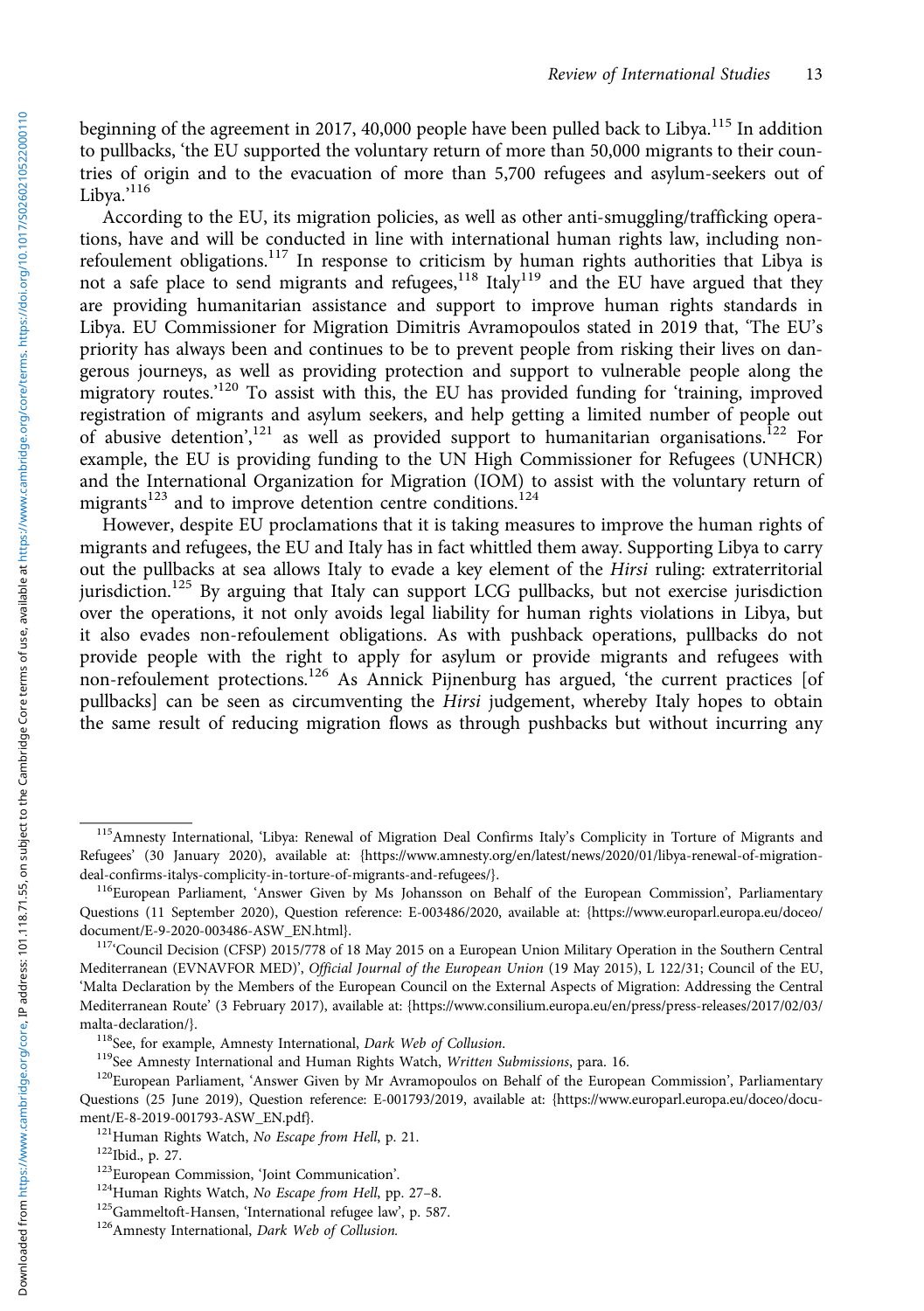beginning of the agreement in 2017, 40,000 people have been pulled back to Libya.<sup>115</sup> In addition to pullbacks, 'the EU supported the voluntary return of more than 50,000 migrants to their countries of origin and to the evacuation of more than 5,700 refugees and asylum-seekers out of Libya.' 116

According to the EU, its migration policies, as well as other anti-smuggling/trafficking operations, have and will be conducted in line with international human rights law, including nonrefoulement obligations.<sup>117</sup> In response to criticism by human rights authorities that Libya is not a safe place to send migrants and refugees,<sup>118</sup> Italy<sup>119</sup> and the EU have argued that they not a safe place to send migrants and refugees,<sup>118</sup> Italy<sup>119</sup> and the EU have argued that they are providing humanitarian assistance and support to improve human rights standards in Libya. EU Commissioner for Migration Dimitris Avramopoulos stated in 2019 that, 'The EU's priority has always been and continues to be to prevent people from risking their lives on dangerous journeys, as well as providing protection and support to vulnerable people along the migratory routes.'<sup>120</sup> To assist with this, the EU has provided funding for 'training, improved registration of migrants and asylum seekers, and help getting a limited number of people out of abusive detention',<sup>121</sup> as well as provided support to humanitarian organisations.<sup>122</sup> For example, the EU is providing funding to the UN High Commissioner for Refugees (UNHCR) and the International Organization for Migration (IOM) to assist with the voluntary return of migrants<sup>123</sup> and to improve detention centre conditions.<sup>124</sup>

However, despite EU proclamations that it is taking measures to improve the human rights of migrants and refugees, the EU and Italy has in fact whittled them away. Supporting Libya to carry out the pullbacks at sea allows Italy to evade a key element of the Hirsi ruling: extraterritorial jurisdiction.<sup>125</sup> By arguing that Italy can support LCG pullbacks, but not exercise jurisdiction over the operations, it not only avoids legal liability for human rights violations in Libya, but it also evades non-refoulement obligations. As with pushback operations, pullbacks do not provide people with the right to apply for asylum or provide migrants and refugees with non-refoulement protections.<sup>126</sup> As Annick Pijnenburg has argued, 'the current practices [of pullbacks] can be seen as circumventing the Hirsi judgement, whereby Italy hopes to obtain the same result of reducing migration flows as through pushbacks but without incurring any

<sup>115</sup> Amnesty International, 'Libya: Renewal of Migration Deal Confirms Italy's Complicity in Torture of Migrants and Refugees' (30 January 2020), available at: {https://www.amnesty.org/en/latest/news/2020/01/libya-renewal-of-migration-<br>deal-confirms-italys-complicity-in-torture-of-migrants-and-refugees/}.

<sup>&</sup>lt;sup>116</sup>European Parliament, 'Answer Given by Ms Johansson on Behalf of the European Commission', Parliamentary Questions (11 September 2020), Question reference: E-003486/2020, available at: {[https://www.europarl.europa.eu/doceo/](https://www.europarl.europa.eu/doceo/document/E-9-2020-003486-ASW_EN.html) [document/E-9-2020-003486-ASW\\_EN.html](https://www.europarl.europa.eu/doceo/document/E-9-2020-003486-ASW_EN.html)}.<br><sup>117</sup>'Council Decision (CFSP) 2015/778 of 18 May 2015 on a European Union Military Operation in the Southern Central

Mediterranean (EVNAVFOR MED)', Official Journal of the European Union (19 May 2015), L 122/31; Council of the EU, 'Malta Declaration by the Members of the European Council on the External Aspects of Migration: Addressing the Central Mediterranean Route' (3 February 2017), available at: [{https://www.consilium.europa.eu/en/press/press-releases/2017/02/03/](https://www.consilium.europa.eu/en/press/press-releases/2017/02/03/malta-declaration/)

<sup>&</sup>lt;sup>118</sup>See, for example, Amnesty International, *Dark Web of Collusion*.<br><sup>119</sup>See Amnesty International and Human Rights Watch, *Written Submissions*, para. 16.<br><sup>120</sup>European Parliament, 'Answer Given by Mr Avramopoulos on B Questions (25 June 2019), Question reference: E-001793/2019, available at: [{https://www.europarl.europa.eu/doceo/docu](https://www.europarl.europa.eu/doceo/document/E-8-2019-001793-ASW_EN.pdf)[ment/E-8-2019-001793-ASW\\_EN.pdf](https://www.europarl.europa.eu/doceo/document/E-8-2019-001793-ASW_EN.pdf)}.<br><sup>121</sup>Human Rights Watch, *No Escape from Hell*, p. 21.<br><sup>122</sup>Ibid., p. 27.<br><sup>123</sup>European Commission, 'Joint Communication'.<br><sup>124</sup>Human Rights Watch, *No Escape from Hell*, pp. 27–8.<br><sup>125</sup>Ga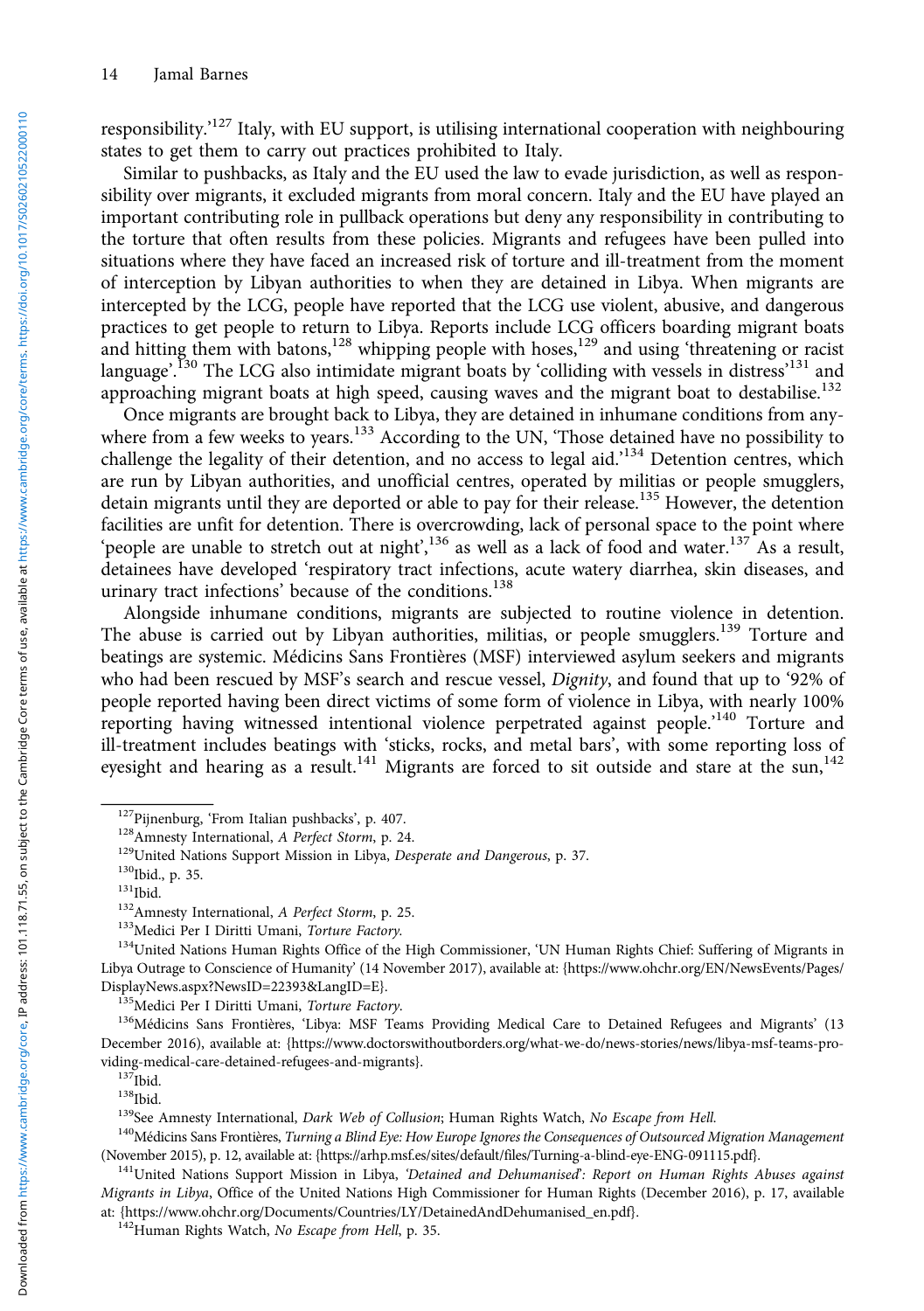responsibility.<sup>127</sup> Italy, with EU support, is utilising international cooperation with neighbouring states to get them to carry out practices prohibited to Italy.

Similar to pushbacks, as Italy and the EU used the law to evade jurisdiction, as well as responsibility over migrants, it excluded migrants from moral concern. Italy and the EU have played an important contributing role in pullback operations but deny any responsibility in contributing to the torture that often results from these policies. Migrants and refugees have been pulled into situations where they have faced an increased risk of torture and ill-treatment from the moment of interception by Libyan authorities to when they are detained in Libya. When migrants are intercepted by the LCG, people have reported that the LCG use violent, abusive, and dangerous practices to get people to return to Libya. Reports include LCG officers boarding migrant boats and hitting them with batons,<sup>128</sup> whipping people with hoses,<sup>129</sup> and using 'threatening or racist language'.<sup>I30</sup> The LCG also intimidate migrant boats by 'colliding with vessels in distress'<sup>131</sup> and approaching migrant boats at high speed, causing waves and the migrant boat to destabilise.<sup>132</sup>

Once migrants are brought back to Libya, they are detained in inhumane conditions from anywhere from a few weeks to years.<sup>133</sup> According to the UN, 'Those detained have no possibility to challenge the legality of their detention, and no access to legal aid.<sup>134</sup> Detention centres, which are run by Libyan authorities, and unofficial centres, operated by militias or people smugglers, detain migrants until they are deported or able to pay for their release.<sup>135</sup> However, the detention facilities are unfit for detention. There is overcrowding, lack of personal space to the point where 'people are unable to stretch out at night',<sup>136</sup> as well as a lack of food and water.<sup>137</sup> As a result, detainees have developed 'respiratory tract infections, acute watery diarrhea, skin diseases, and urinary tract infections' because of the conditions.<sup>138</sup>

Alongside inhumane conditions, migrants are subjected to routine violence in detention. The abuse is carried out by Libyan authorities, militias, or people smugglers.<sup>139</sup> Torture and beatings are systemic. Médicins Sans Frontières (MSF) interviewed asylum seekers and migrants who had been rescued by MSF's search and rescue vessel, Dignity, and found that up to '92% of people reported having been direct victims of some form of violence in Libya, with nearly 100% reporting having witnessed intentional violence perpetrated against people.'<sup>140</sup> Torture and ill-treatment includes beatings with 'sticks, rocks, and metal bars', with some reporting loss of eyesight and hearing as a result.<sup>141</sup> Migrants are forced to sit outside and stare at the sun,<sup>142</sup>

<sup>&</sup>lt;sup>127</sup>Pijnenburg, 'From Italian pushbacks', p. 407.<br><sup>128</sup>Amnesty International, *A Perfect Storm*, p. 24.<br><sup>129</sup>United Nations Support Mission in Libya, *Desperate and Dangerous*, p. 37.<br><sup>130</sup>Ibid., p. 35.<br><sup>131</sup>Ibid.<br><sup>132</sup>Am Libya Outrage to Conscience of Humanity' (14 November 2017), available at: [{https://www.ohchr.org/EN/NewsEvents/Pages/](https://www.ohchr.org/EN/NewsEvents/Pages/DisplayNews.aspx?NewsID=22393&LangID=E) [DisplayNews.aspx?NewsID=22393&LangID=E}](https://www.ohchr.org/EN/NewsEvents/Pages/DisplayNews.aspx?NewsID=22393&LangID=E).<br><sup>135</sup>Medici Per I Diritti Umani, *Torture Factory.*<br><sup>136</sup>Médicins Sans Frontières, 'Libya: MSF Teams Providing Medical Care to Detained Refugees and Migrants' (13

December 2016), available at: {[https://www.doctorswithoutborders.org/what-we-do/news-stories/news/libya-msf-teams-pro](https://www.doctorswithoutborders.org/what-we-do/news-stories/news/libya-msf-teams-providing-medical-care-detained-refugees-and-migrants)[viding-medical-care-detained-refugees-and-migrants](https://www.doctorswithoutborders.org/what-we-do/news-stories/news/libya-msf-teams-providing-medical-care-detained-refugees-and-migrants)}.<br><sup>137</sup>Ibid.<br><sup>138</sup>Ibid.<br><sup>139</sup>See Amnesty International, *Dark Web of Collusion*; Human Rights Watch, *No Escape from Hell.*<br><sup>140</sup>Médicins Sans Frontières, *Turning a Blind* 

<sup>(</sup>November 2015), p. 12, available at: [{https://arhp.msf.es/sites/default/files/Turning-a-blind-eye-ENG-091115.pdf}](https://arhp.msf.es/sites/default/files/Turning-a-blind-eye-ENG-091115.pdf).<br><sup>141</sup>United Nations Support Mission in Libya, 'Detained and Dehumanised': Report on Human Rights Abuses ag

Migrants in Libya, Office of the United Nations High Commissioner for Human Rights (December 2016), p. 17, available at: {https://www.ohchr.org/Documents/Countries/LY/DetainedAndDehumanised\_en.pdf}.<br><sup>142</sup>Human Rights Watch, *No Escape from Hell*, p. 35.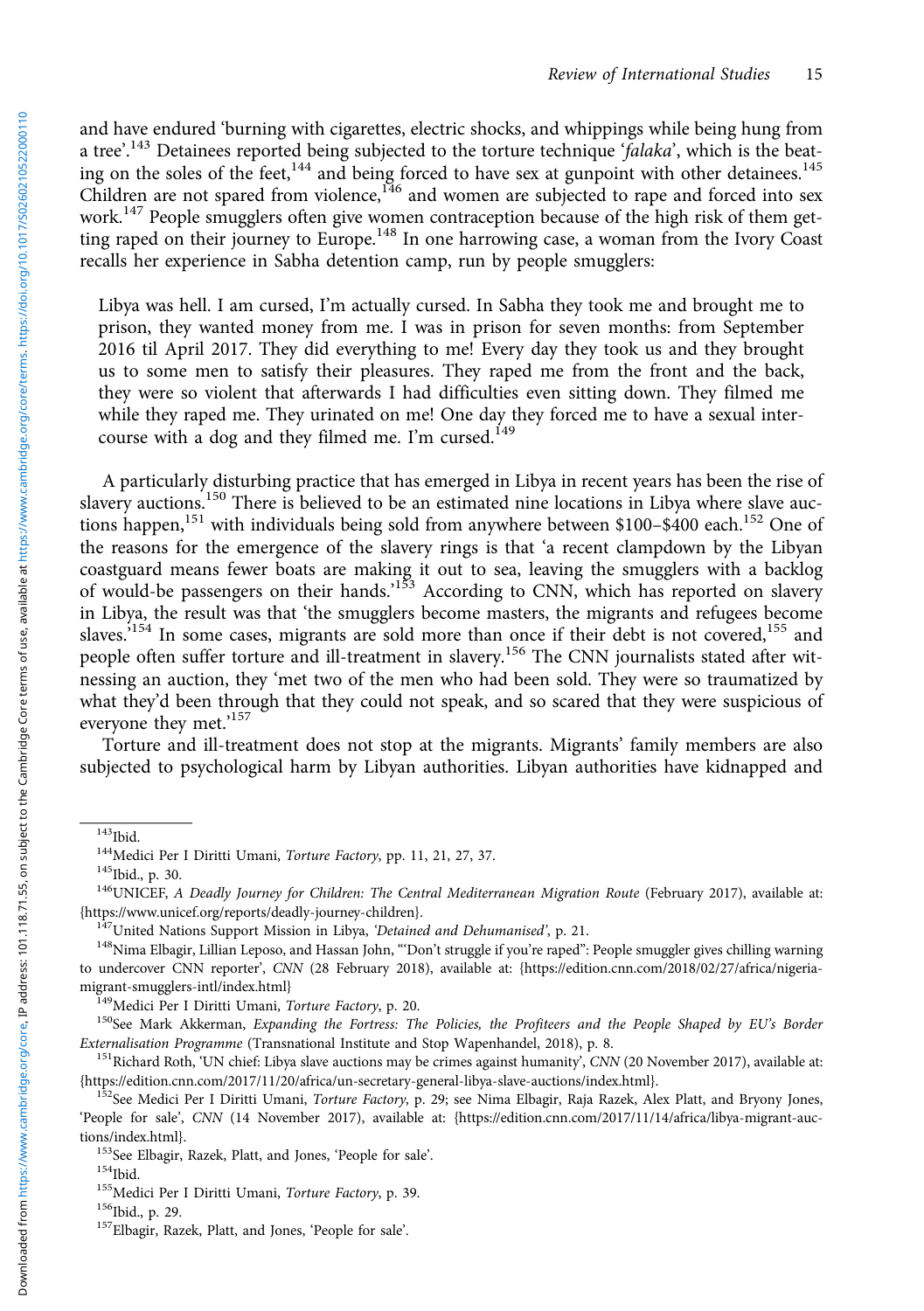and have endured 'burning with cigarettes, electric shocks, and whippings while being hung from a tree'.<sup>143</sup> Detainees reported being subjected to the torture technique 'falaka', which is the beating on the soles of the feet,<sup>144</sup> and being forced to have sex at gunpoint with other detainees.<sup>145</sup> Children are not spared from violence,<sup>146</sup> and women are subjected to rape and forced into sex work.<sup>147</sup> People smugglers often give women contraception because of the high risk of them getting raped on their journey to Europe.<sup>148</sup> In one harrowing case, a woman from the Ivory Coast recalls her experience in Sabha detention camp, run by people smugglers:

Libya was hell. I am cursed, I'm actually cursed. In Sabha they took me and brought me to prison, they wanted money from me. I was in prison for seven months: from September 2016 til April 2017. They did everything to me! Every day they took us and they brought us to some men to satisfy their pleasures. They raped me from the front and the back, they were so violent that afterwards I had difficulties even sitting down. They filmed me while they raped me. They urinated on me! One day they forced me to have a sexual intercourse with a dog and they filmed me. I'm cursed.<sup>149</sup>

A particularly disturbing practice that has emerged in Libya in recent years has been the rise of slavery auctions.<sup>150</sup> There is believed to be an estimated nine locations in Libya where slave auctions happen,<sup>151</sup> with individuals being sold from anywhere between \$100–\$400 each.<sup>152</sup> One of the reasons for the emergence of the slavery rings is that 'a recent clampdown by the Libyan coastguard means fewer boats are making it out to sea, leaving the smugglers with a backlog of would-be passengers on their hands.<sup>153</sup> According to CNN, which has reported on slavery in Libya, the result was that 'the smugglers become masters, the migrants and refugees become slaves.<sup>154</sup> In some cases, migrants are sold more than once if their debt is not covered,<sup>155</sup> and people often suffer torture and ill-treatment in slavery.<sup>156</sup> The CNN journalists stated after witnessing an auction, they 'met two of the men who had been sold. They were so traumatized by what they'd been through that they could not speak, and so scared that they were suspicious of everyone they met.'<sup>157</sup>

Torture and ill-treatment does not stop at the migrants. Migrants' family members are also subjected to psychological harm by Libyan authorities. Libyan authorities have kidnapped and

<sup>&</sup>lt;sup>143</sup>Ibid.<br><sup>144</sup>Medici Per I Diritti Umani, *Torture Factory*, pp. 11, 21, 27, 37.<br><sup>145</sup>Ibid., p. 30.<br><sup>146</sup>UNICEF, *A Deadly Journey for Children: The Central Mediterranean Migration Route* (February 2017), available at:<br>{

<sup>&</sup>lt;sup>147</sup>United Nations Support Mission in Libya, *'Detained and Dehumanised*', p. 21.<br><sup>148</sup>Nima Elbagir, Lillian Leposo, and Hassan John, "'Don't struggle if you're raped'': People smuggler gives chilling warning to undercover CNN reporter', CNN (28 February 2018), available at: {[https://edition.cnn.com/2018/02/27/africa/nigeria-](https://edition.cnn.com/2018/02/27/africa/nigeria-migrant-smugglers-intl/index.html)

[migrant-smugglers-intl/index.html](https://edition.cnn.com/2018/02/27/africa/nigeria-migrant-smugglers-intl/index.html)}<br><sup>149</sup>Medici Per I Diritti Umani, *Torture Factory*, p. 20.<br><sup>150</sup>See Mark Akkerman, *Expanding the Fortress: The Policies, the Profiteers and the People Shaped by EU's Border<br><i>Externalisat* 

<sup>&</sup>lt;sup>151</sup>Richard Roth, 'UN chief: Libya slave auctions may be crimes against humanity', *CNN* (20 November 2017), available at:<br>{https://edition.cnn.com/2017/11/20/africa/un-secretary-general-libya-slave-auctions/index.html}.

<sup>&</sup>lt;sup>152</sup>See Medici Per I Diritti Umani, *Torture Factory*, p. 29; see Nima Elbagir, Raja Razek, Alex Platt, and Bryony Jones, 'People for sale', CNN (14 November 2017), available at: [{https://edition.cnn.com/2017/11/14/africa/libya-migrant-auc-](https://edition.cnn.com/2017/11/14/africa/libya-migrant-auctions/index.html)

[tions/index.html](https://edition.cnn.com/2017/11/14/africa/libya-migrant-auctions/index.html)}.<br><sup>153</sup>See Elbagir, Razek, Platt, and Jones, 'People for sale'.<br><sup>154</sup>Ibid. <sup>155</sup>Medici Per I Diritti Umani, *Torture Factory*, p. 39.<br><sup>156</sup>Ibid., p. 29. <sup>157</sup>Elbagir, Razek, Platt, and Jones, 'People for s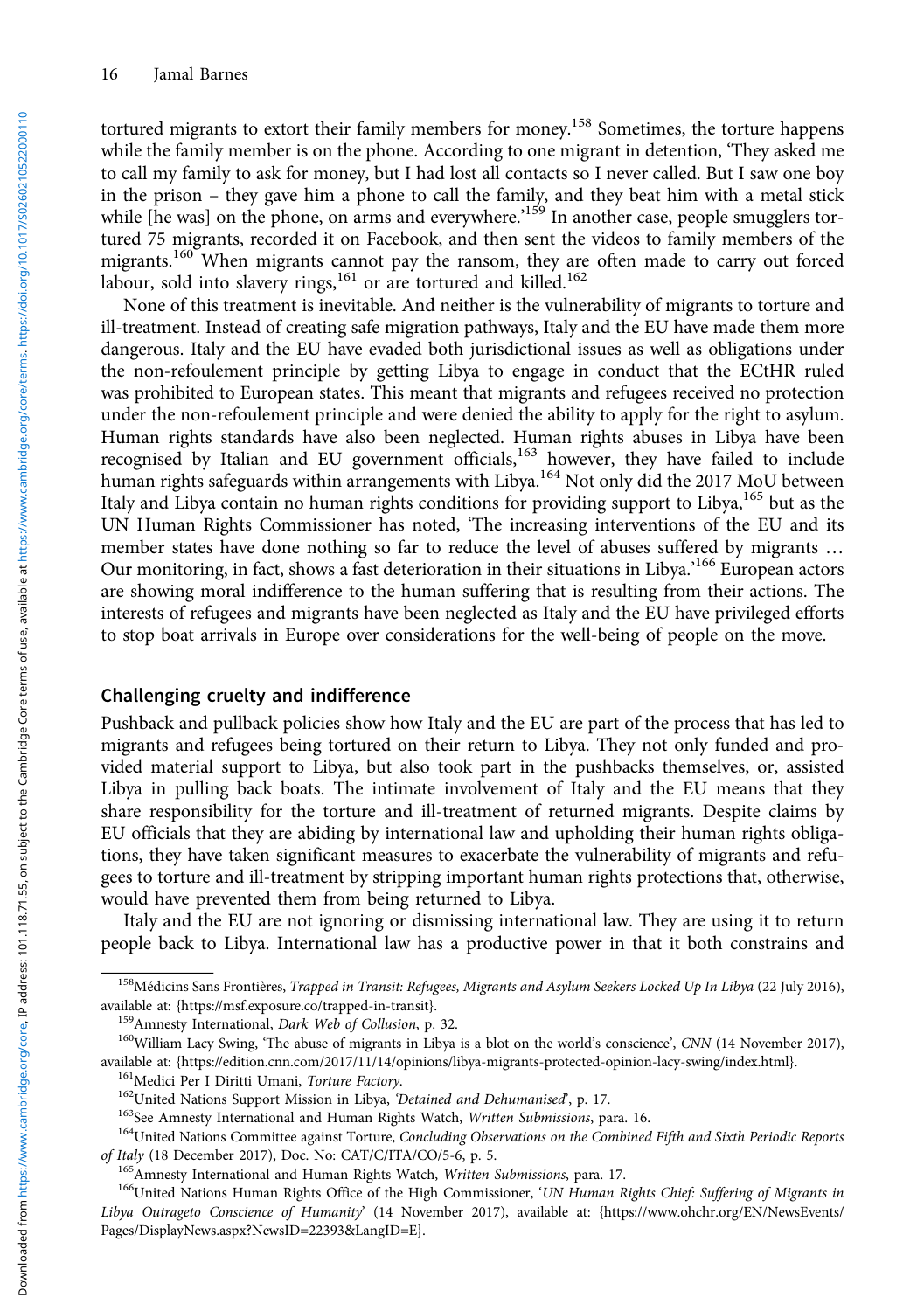tortured migrants to extort their family members for money.<sup>158</sup> Sometimes, the torture happens while the family member is on the phone. According to one migrant in detention, 'They asked me to call my family to ask for money, but I had lost all contacts so I never called. But I saw one boy in the prison – they gave him a phone to call the family, and they beat him with a metal stick while [he was] on the phone, on arms and everywhere.<sup>159</sup> In another case, people smugglers tortured 75 migrants, recorded it on Facebook, and then sent the videos to family members of the migrants.<sup>160</sup> When migrants cannot pay the ransom, they are often made to carry out forced labour, sold into slavery rings,<sup>161</sup> or are tortured and killed.<sup>162</sup>

None of this treatment is inevitable. And neither is the vulnerability of migrants to torture and ill-treatment. Instead of creating safe migration pathways, Italy and the EU have made them more dangerous. Italy and the EU have evaded both jurisdictional issues as well as obligations under the non-refoulement principle by getting Libya to engage in conduct that the ECtHR ruled was prohibited to European states. This meant that migrants and refugees received no protection under the non-refoulement principle and were denied the ability to apply for the right to asylum. Human rights standards have also been neglected. Human rights abuses in Libya have been recognised by Italian and EU government officials,<sup>163</sup> however, they have failed to include human rights safeguards within arrangements with Libya.<sup>164</sup> Not only did the 2017 MoU between Italy and Libya contain no human rights conditions for providing support to Libya,<sup>165</sup> but as the UN Human Rights Commissioner has noted, 'The increasing interventions of the EU and its member states have done nothing so far to reduce the level of abuses suffered by migrants … Our monitoring, in fact, shows a fast deterioration in their situations in Libya.' <sup>166</sup> European actors are showing moral indifference to the human suffering that is resulting from their actions. The interests of refugees and migrants have been neglected as Italy and the EU have privileged efforts to stop boat arrivals in Europe over considerations for the well-being of people on the move.

#### Challenging cruelty and indifference

Pushback and pullback policies show how Italy and the EU are part of the process that has led to migrants and refugees being tortured on their return to Libya. They not only funded and provided material support to Libya, but also took part in the pushbacks themselves, or, assisted Libya in pulling back boats. The intimate involvement of Italy and the EU means that they share responsibility for the torture and ill-treatment of returned migrants. Despite claims by EU officials that they are abiding by international law and upholding their human rights obligations, they have taken significant measures to exacerbate the vulnerability of migrants and refugees to torture and ill-treatment by stripping important human rights protections that, otherwise, would have prevented them from being returned to Libya.

Italy and the EU are not ignoring or dismissing international law. They are using it to return people back to Libya. International law has a productive power in that it both constrains and

<sup>&</sup>lt;sup>158</sup>Médicins Sans Frontières, Trapped in Transit: Refugees, Migrants and Asylum Seekers Locked Up In Libya (22 July 2016), available at: {<https://msf.exposure.co/trapped-in-transit>}.<br><sup>159</sup>Amnesty International, *Dark Web of Collusion*, p. 32.<br><sup>160</sup>William Lacy Swing, 'The abuse of migrants in Libya is a blot on the world's conscience', *CNN* (

available at: {<https://edition.cnn.com/2017/11/14/opinions/libya-migrants-protected-opinion-lacy-swing/index.html>}.<br><sup>161</sup>Medici Per I Diritti Umani, *Torture Factory.*<br><sup>162</sup>United Nations Support Mission in Libya, *'Detain* 

of Italy (18 December 2017), Doc. No: CAT/C/ITA/CO/5-6, p. 5.<br><sup>165</sup>Amnesty International and Human Rights Watch, *Written Submissions*, para. 17.<br><sup>166</sup>United Nations Human Rights Office of the High Commissioner, '*UN Human* 

Libya Outrageto Conscience of Humanity' (14 November 2017), available at: {https://www.ohchr.org/EN/NewsEvents/ Pages/DisplayNews.aspx?NewsID=22393&LangID=E}.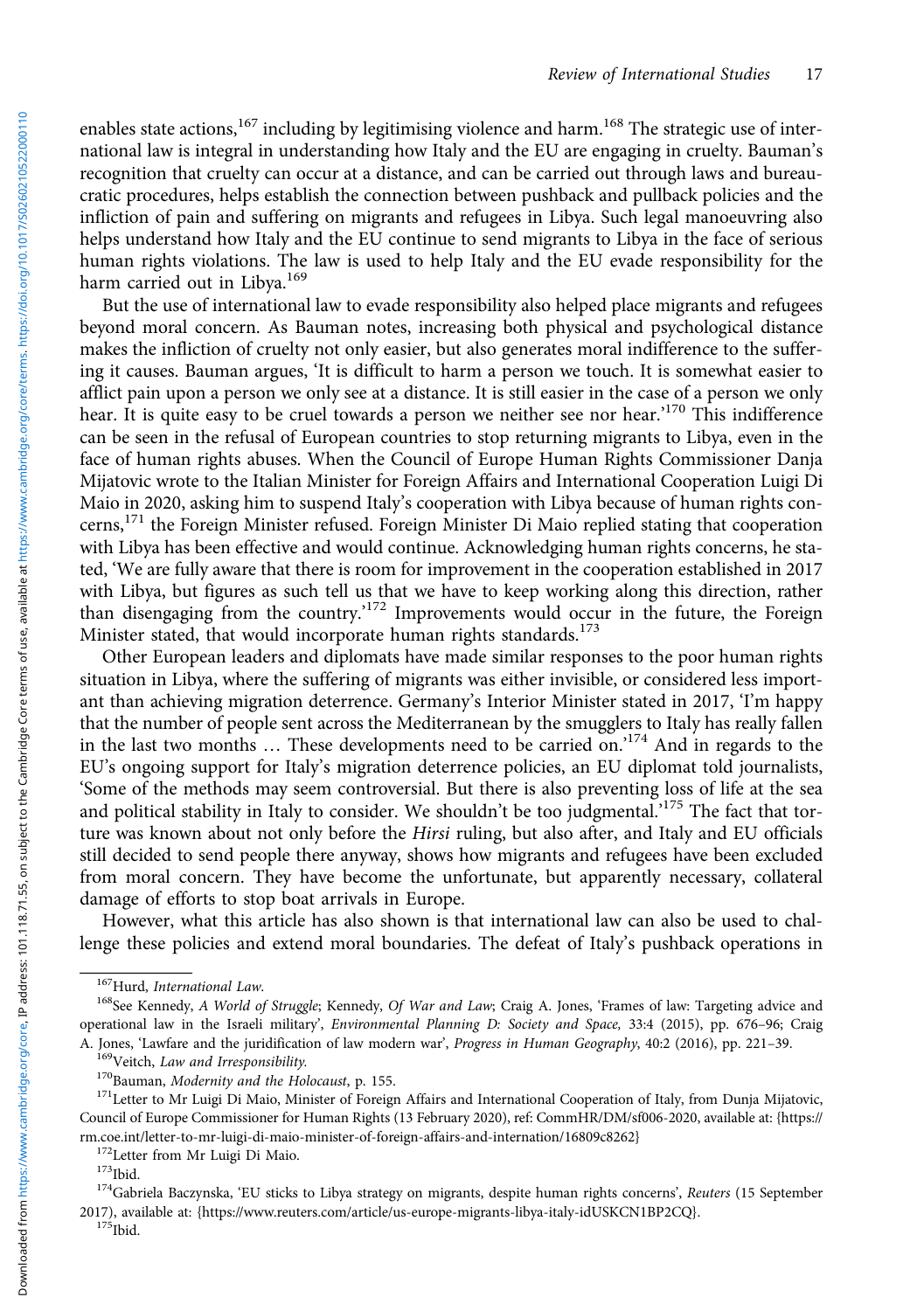enables state actions,<sup>167</sup> including by legitimising violence and harm.<sup>168</sup> The strategic use of international law is integral in understanding how Italy and the EU are engaging in cruelty. Bauman's recognition that cruelty can occur at a distance, and can be carried out through laws and bureaucratic procedures, helps establish the connection between pushback and pullback policies and the infliction of pain and suffering on migrants and refugees in Libya. Such legal manoeuvring also helps understand how Italy and the EU continue to send migrants to Libya in the face of serious human rights violations. The law is used to help Italy and the EU evade responsibility for the harm carried out in Libya.<sup>169</sup>

But the use of international law to evade responsibility also helped place migrants and refugees beyond moral concern. As Bauman notes, increasing both physical and psychological distance makes the infliction of cruelty not only easier, but also generates moral indifference to the suffering it causes. Bauman argues, 'It is difficult to harm a person we touch. It is somewhat easier to afflict pain upon a person we only see at a distance. It is still easier in the case of a person we only hear. It is quite easy to be cruel towards a person we neither see nor hear.<sup>270</sup> This indifference can be seen in the refusal of European countries to stop returning migrants to Libya, even in the face of human rights abuses. When the Council of Europe Human Rights Commissioner Danja Mijatovic wrote to the Italian Minister for Foreign Affairs and International Cooperation Luigi Di Maio in 2020, asking him to suspend Italy's cooperation with Libya because of human rights concerns,<sup>171</sup> the Foreign Minister refused. Foreign Minister Di Maio replied stating that cooperation with Libya has been effective and would continue. Acknowledging human rights concerns, he stated, 'We are fully aware that there is room for improvement in the cooperation established in 2017 with Libya, but figures as such tell us that we have to keep working along this direction, rather than disengaging from the country.'<sup>172</sup> Improvements would occur in the future, the Foreign Minister stated, that would incorporate human rights standards.<sup>173</sup>

Other European leaders and diplomats have made similar responses to the poor human rights situation in Libya, where the suffering of migrants was either invisible, or considered less important than achieving migration deterrence. Germany's Interior Minister stated in 2017, 'I'm happy that the number of people sent across the Mediterranean by the smugglers to Italy has really fallen in the last two months ... These developments need to be carried on.<sup>174</sup> And in regards to the EU's ongoing support for Italy's migration deterrence policies, an EU diplomat told journalists, 'Some of the methods may seem controversial. But there is also preventing loss of life at the sea and political stability in Italy to consider. We shouldn't be too judgmental.<sup>'175</sup> The fact that torture was known about not only before the Hirsi ruling, but also after, and Italy and EU officials still decided to send people there anyway, shows how migrants and refugees have been excluded from moral concern. They have become the unfortunate, but apparently necessary, collateral damage of efforts to stop boat arrivals in Europe.

However, what this article has also shown is that international law can also be used to challenge these policies and extend moral boundaries. The defeat of Italy's pushback operations in

<sup>&</sup>lt;sup>167</sup>Hurd, *International Law.*<br><sup>168</sup>See Kennedy, A World of Struggle; Kennedy, Of War and Law; Craig A. Jones, 'Frames of law: Targeting advice and operational law in the Israeli military', *Environmental Planning D: Society and Space*, 33:4 (2015), pp. 676–96; Craig<br>A. Jones, 'Lawfare and the juridification of law modern war', *Progress in Human Geography*, 40:2 (201

<sup>&</sup>lt;sup>169</sup>Veitch, *Law and Irresponsibility.*<br><sup>170</sup>Bauman, *Modernity and the Holocaust*, p. 155.<br><sup>171</sup>Letter to Mr Luigi Di Maio, Minister of Foreign Affairs and International Cooperation of Italy, from Dunja Mijatovic, Council of Europe Commissioner for Human Rights (13 February 2020), ref: CommHR/DM/sf006-2020, available at: [{https://](https://rm.coe.int/letter-to-mr-luigi-di-maio-minister-of-foreign-affairs-and-internation/16809c8262)

<sup>&</sup>lt;sup>172</sup>Letter from Mr Luigi Di Maio.<br><sup>173</sup>Ibid.<br><sup>174</sup>Gabriela Baczynska, 'EU sticks to Libya strategy on migrants, despite human rights concerns', *Reuters* (15 September 2017), available at: {[https://www.reuters.com/article/us-europe-migrants-libya-italy-idUSKCN1BP2CQ}](https://www.reuters.com/article/us-europe-migrants-libya-italy-idUSKCN1BP2CQ).<br><sup>175</sup>Ibid.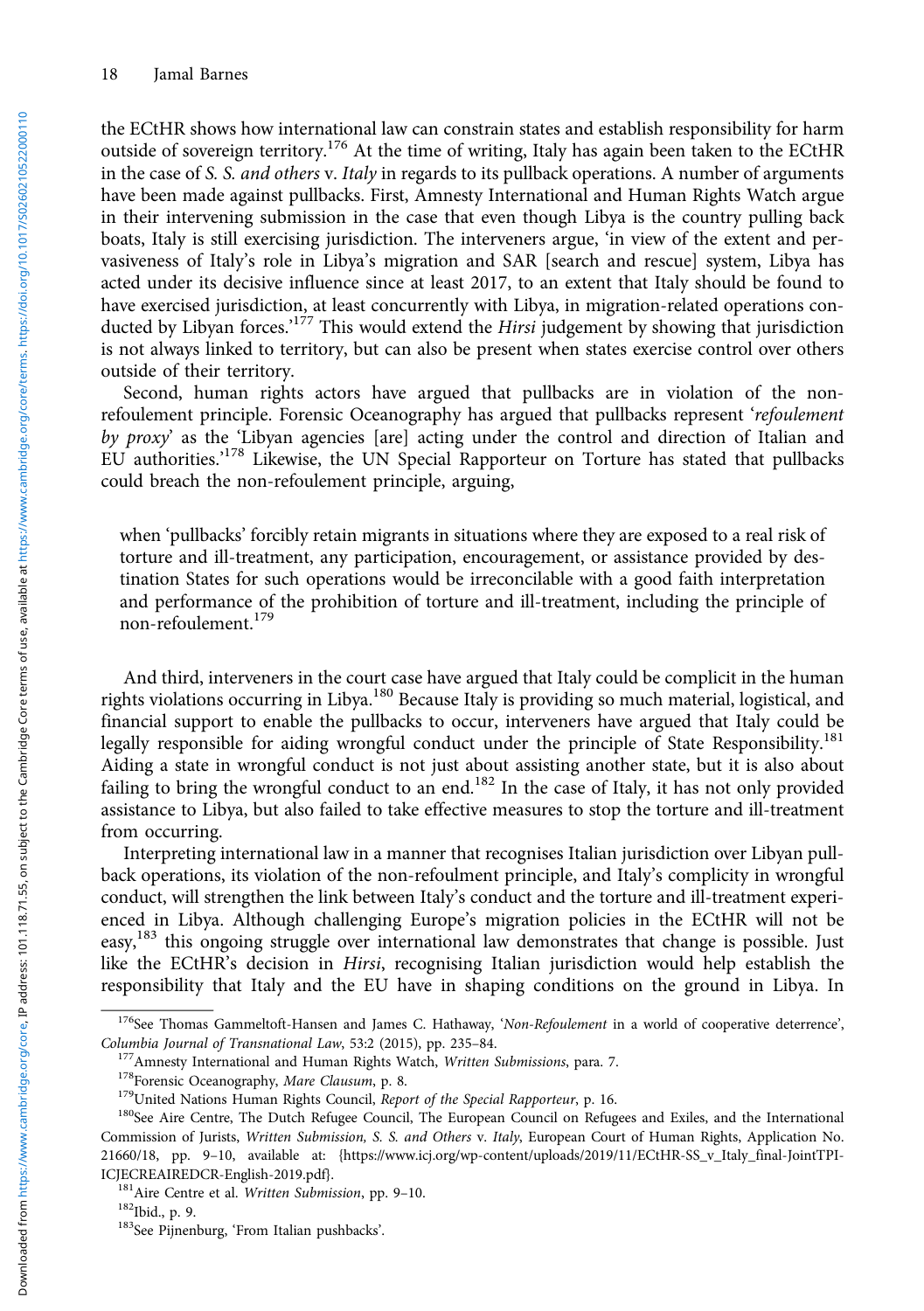the ECtHR shows how international law can constrain states and establish responsibility for harm outside of sovereign territory.<sup>176</sup> At the time of writing, Italy has again been taken to the ECtHR in the case of S. S. and others v. Italy in regards to its pullback operations. A number of arguments have been made against pullbacks. First, Amnesty International and Human Rights Watch argue in their intervening submission in the case that even though Libya is the country pulling back boats, Italy is still exercising jurisdiction. The interveners argue, 'in view of the extent and pervasiveness of Italy's role in Libya's migration and SAR [search and rescue] system, Libya has acted under its decisive influence since at least 2017, to an extent that Italy should be found to have exercised jurisdiction, at least concurrently with Libya, in migration-related operations conducted by Libyan forces.'<sup>177</sup> This would extend the Hirsi judgement by showing that jurisdiction is not always linked to territory, but can also be present when states exercise control over others outside of their territory.

Second, human rights actors have argued that pullbacks are in violation of the nonrefoulement principle. Forensic Oceanography has argued that pullbacks represent 'refoulement by proxy' as the 'Libyan agencies [are] acting under the control and direction of Italian and EU authorities.'<sup>178</sup> Likewise, the UN Special Rapporteur on Torture has stated that pullbacks could breach the non-refoulement principle, arguing,

when 'pullbacks' forcibly retain migrants in situations where they are exposed to a real risk of torture and ill-treatment, any participation, encouragement, or assistance provided by destination States for such operations would be irreconcilable with a good faith interpretation and performance of the prohibition of torture and ill-treatment, including the principle of non-refoulement.179

And third, interveners in the court case have argued that Italy could be complicit in the human rights violations occurring in Libya.<sup>180</sup> Because Italy is providing so much material, logistical, and financial support to enable the pullbacks to occur, interveners have argued that Italy could be legally responsible for aiding wrongful conduct under the principle of State Responsibility.<sup>181</sup> Aiding a state in wrongful conduct is not just about assisting another state, but it is also about failing to bring the wrongful conduct to an end.<sup>182</sup> In the case of Italy, it has not only provided assistance to Libya, but also failed to take effective measures to stop the torture and ill-treatment from occurring.

Interpreting international law in a manner that recognises Italian jurisdiction over Libyan pullback operations, its violation of the non-refoulment principle, and Italy's complicity in wrongful conduct, will strengthen the link between Italy's conduct and the torture and ill-treatment experienced in Libya. Although challenging Europe's migration policies in the ECtHR will not be easy,<sup>183</sup> this ongoing struggle over international law demonstrates that change is possible. Just like the ECtHR's decision in Hirsi, recognising Italian jurisdiction would help establish the responsibility that Italy and the EU have in shaping conditions on the ground in Libya. In

<sup>&</sup>lt;sup>176</sup>See Thomas Gammeltoft-Hansen and James C. Hathaway, 'Non-Refoulement in a world of cooperative deterrence', Columbia Journal of Transnational Law, 53:2 (2015), pp. 235–84.<br><sup>177</sup> Amnesty International and Human Rights Watch, *Written Submissions*, para. 7.<br><sup>178</sup> Forensic Oceanography, *Mare Clausum*, p. 8.<br><sup>179</sup> United Nations Hu

Commission of Jurists, Written Submission, S. S. and Others v. Italy, European Court of Human Rights, Application No. 21660/18, pp. 9–10, available at: [{https://www.icj.org/wp-content/uploads/2019/11/ECtHR-SS\\_v\\_Italy\\_final-JointTPI-](https://www.icj.org/wp-content/uploads/2019/11/ECtHR-SS_v_Italy_final-JointTPI-ICJECREAIREDCR-English-2019.pdf)[ICJECREAIREDCR-English-2019.pdf}](https://www.icj.org/wp-content/uploads/2019/11/ECtHR-SS_v_Italy_final-JointTPI-ICJECREAIREDCR-English-2019.pdf).<br><sup>181</sup>Aire Centre et al. *Written Submission*, pp. 9–10.<br><sup>182</sup>Ibid., p. 9. <sup>183</sup>See Pijnenburg, 'From Italian pushbacks'.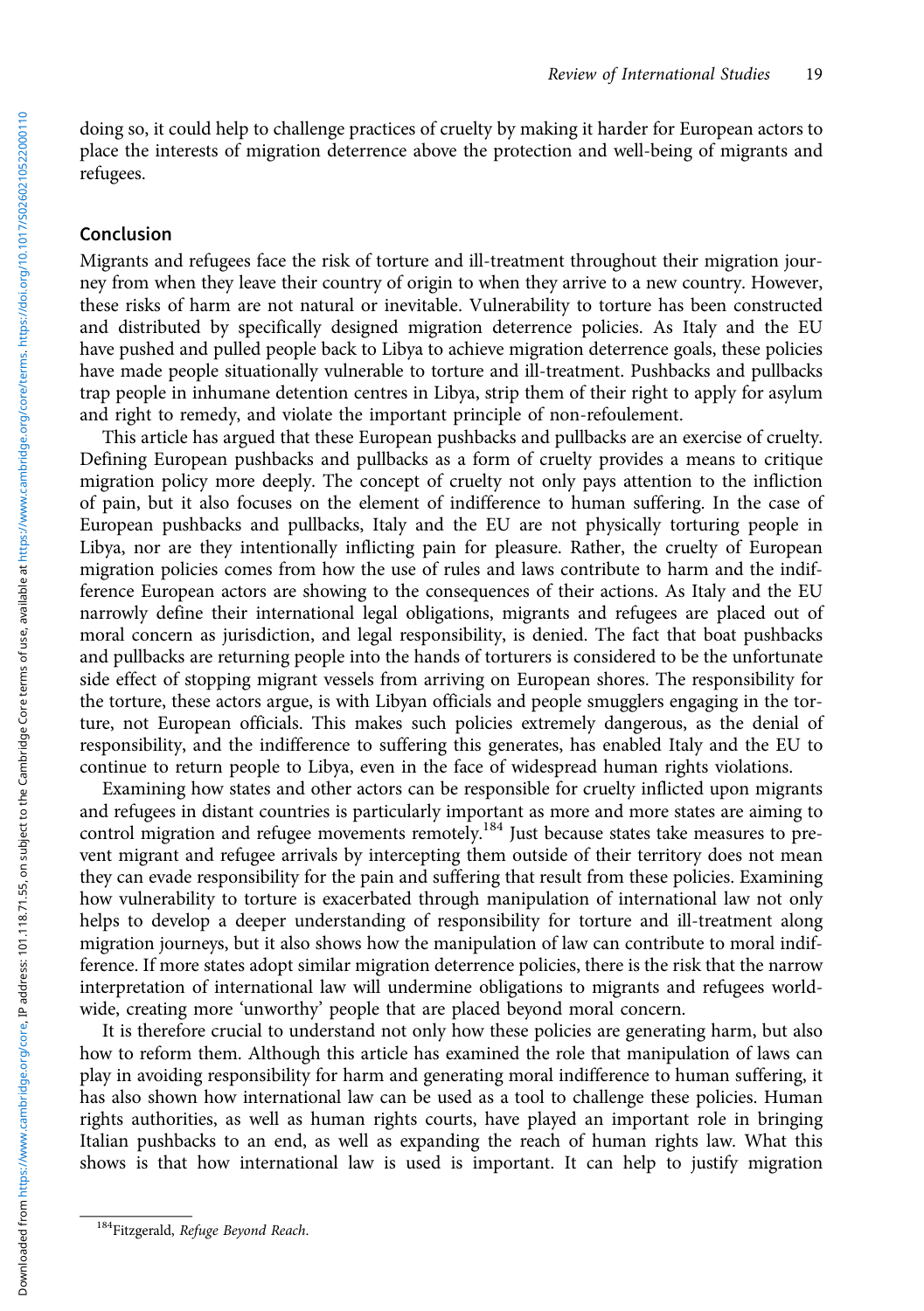doing so, it could help to challenge practices of cruelty by making it harder for European actors to place the interests of migration deterrence above the protection and well-being of migrants and refugees.

#### Conclusion

Migrants and refugees face the risk of torture and ill-treatment throughout their migration journey from when they leave their country of origin to when they arrive to a new country. However, these risks of harm are not natural or inevitable. Vulnerability to torture has been constructed and distributed by specifically designed migration deterrence policies. As Italy and the EU have pushed and pulled people back to Libya to achieve migration deterrence goals, these policies have made people situationally vulnerable to torture and ill-treatment. Pushbacks and pullbacks trap people in inhumane detention centres in Libya, strip them of their right to apply for asylum and right to remedy, and violate the important principle of non-refoulement.

This article has argued that these European pushbacks and pullbacks are an exercise of cruelty. Defining European pushbacks and pullbacks as a form of cruelty provides a means to critique migration policy more deeply. The concept of cruelty not only pays attention to the infliction of pain, but it also focuses on the element of indifference to human suffering. In the case of European pushbacks and pullbacks, Italy and the EU are not physically torturing people in Libya, nor are they intentionally inflicting pain for pleasure. Rather, the cruelty of European migration policies comes from how the use of rules and laws contribute to harm and the indifference European actors are showing to the consequences of their actions. As Italy and the EU narrowly define their international legal obligations, migrants and refugees are placed out of moral concern as jurisdiction, and legal responsibility, is denied. The fact that boat pushbacks and pullbacks are returning people into the hands of torturers is considered to be the unfortunate side effect of stopping migrant vessels from arriving on European shores. The responsibility for the torture, these actors argue, is with Libyan officials and people smugglers engaging in the torture, not European officials. This makes such policies extremely dangerous, as the denial of responsibility, and the indifference to suffering this generates, has enabled Italy and the EU to continue to return people to Libya, even in the face of widespread human rights violations.

Examining how states and other actors can be responsible for cruelty inflicted upon migrants and refugees in distant countries is particularly important as more and more states are aiming to control migration and refugee movements remotely.<sup>184</sup> Just because states take measures to prevent migrant and refugee arrivals by intercepting them outside of their territory does not mean they can evade responsibility for the pain and suffering that result from these policies. Examining how vulnerability to torture is exacerbated through manipulation of international law not only helps to develop a deeper understanding of responsibility for torture and ill-treatment along migration journeys, but it also shows how the manipulation of law can contribute to moral indifference. If more states adopt similar migration deterrence policies, there is the risk that the narrow interpretation of international law will undermine obligations to migrants and refugees worldwide, creating more 'unworthy' people that are placed beyond moral concern.

It is therefore crucial to understand not only how these policies are generating harm, but also how to reform them. Although this article has examined the role that manipulation of laws can play in avoiding responsibility for harm and generating moral indifference to human suffering, it has also shown how international law can be used as a tool to challenge these policies. Human rights authorities, as well as human rights courts, have played an important role in bringing Italian pushbacks to an end, as well as expanding the reach of human rights law. What this shows is that how international law is used is important. It can help to justify migration

<sup>&</sup>lt;sup>184</sup>Fitzgerald, Refuge Beyond Reach.